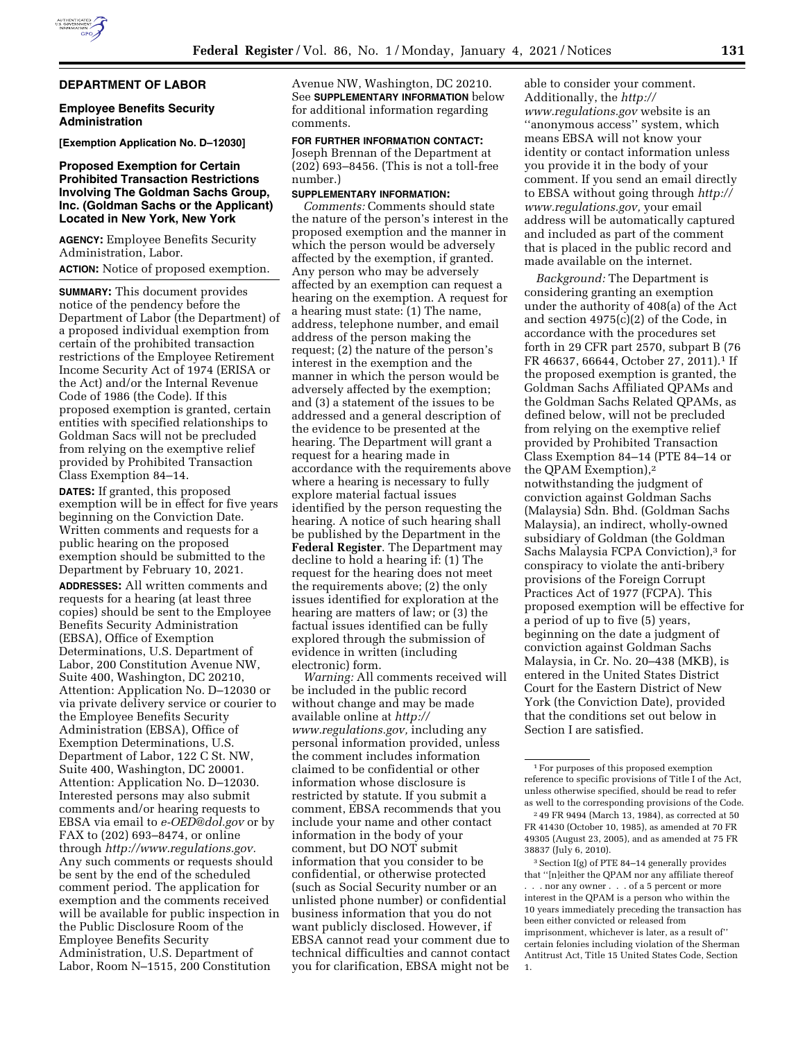## **DEPARTMENT OF LABOR**

### **Employee Benefits Security Administration**

**[Exemption Application No. D–12030]** 

## **Proposed Exemption for Certain Prohibited Transaction Restrictions Involving The Goldman Sachs Group, Inc. (Goldman Sachs or the Applicant) Located in New York, New York**

**AGENCY:** Employee Benefits Security Administration, Labor. **ACTION:** Notice of proposed exemption.

**SUMMARY:** This document provides notice of the pendency before the Department of Labor (the Department) of a proposed individual exemption from certain of the prohibited transaction restrictions of the Employee Retirement Income Security Act of 1974 (ERISA or the Act) and/or the Internal Revenue Code of 1986 (the Code). If this proposed exemption is granted, certain entities with specified relationships to Goldman Sacs will not be precluded from relying on the exemptive relief provided by Prohibited Transaction Class Exemption 84–14.

**DATES:** If granted, this proposed exemption will be in effect for five years beginning on the Conviction Date. Written comments and requests for a public hearing on the proposed exemption should be submitted to the Department by February 10, 2021.

**ADDRESSES:** All written comments and requests for a hearing (at least three copies) should be sent to the Employee Benefits Security Administration (EBSA), Office of Exemption Determinations, U.S. Department of Labor, 200 Constitution Avenue NW, Suite 400, Washington, DC 20210, Attention: Application No. D–12030 or via private delivery service or courier to the Employee Benefits Security Administration (EBSA), Office of Exemption Determinations, U.S. Department of Labor, 122 C St. NW, Suite 400, Washington, DC 20001. Attention: Application No. D–12030. Interested persons may also submit comments and/or hearing requests to EBSA via email to *[e-OED@dol.gov](mailto:e-OED@dol.gov)* or by FAX to (202) 693–8474, or online through *[http://www.regulations.gov.](http://www.regulations.gov)*  Any such comments or requests should be sent by the end of the scheduled comment period. The application for exemption and the comments received will be available for public inspection in the Public Disclosure Room of the Employee Benefits Security Administration, U.S. Department of Labor, Room N–1515, 200 Constitution

Avenue NW, Washington, DC 20210. See **SUPPLEMENTARY INFORMATION** below for additional information regarding comments.

**FOR FURTHER INFORMATION CONTACT:**  Joseph Brennan of the Department at (202) 693–8456. (This is not a toll-free number.)

# **SUPPLEMENTARY INFORMATION:**

*Comments:* Comments should state the nature of the person's interest in the proposed exemption and the manner in which the person would be adversely affected by the exemption, if granted. Any person who may be adversely affected by an exemption can request a hearing on the exemption. A request for a hearing must state: (1) The name, address, telephone number, and email address of the person making the request; (2) the nature of the person's interest in the exemption and the manner in which the person would be adversely affected by the exemption; and (3) a statement of the issues to be addressed and a general description of the evidence to be presented at the hearing. The Department will grant a request for a hearing made in accordance with the requirements above where a hearing is necessary to fully explore material factual issues identified by the person requesting the hearing. A notice of such hearing shall be published by the Department in the **Federal Register**. The Department may decline to hold a hearing if: (1) The request for the hearing does not meet the requirements above; (2) the only issues identified for exploration at the hearing are matters of law; or (3) the factual issues identified can be fully explored through the submission of evidence in written (including electronic) form.

*Warning:* All comments received will be included in the public record without change and may be made available online at *[http://](http://www.regulations.gov) [www.regulations.gov,](http://www.regulations.gov)* including any personal information provided, unless the comment includes information claimed to be confidential or other information whose disclosure is restricted by statute. If you submit a comment, EBSA recommends that you include your name and other contact information in the body of your comment, but DO NOT submit information that you consider to be confidential, or otherwise protected (such as Social Security number or an unlisted phone number) or confidential business information that you do not want publicly disclosed. However, if EBSA cannot read your comment due to technical difficulties and cannot contact you for clarification, EBSA might not be

able to consider your comment. Additionally, the *[http://](http://www.regulations.gov) [www.regulations.gov](http://www.regulations.gov)* website is an ''anonymous access'' system, which means EBSA will not know your identity or contact information unless you provide it in the body of your comment. If you send an email directly to EBSA without going through *[http://](http://www.regulations.gov) [www.regulations.gov,](http://www.regulations.gov)* your email address will be automatically captured and included as part of the comment that is placed in the public record and made available on the internet.

*Background:* The Department is considering granting an exemption under the authority of 408(a) of the Act and section 4975(c)(2) of the Code, in accordance with the procedures set forth in 29 CFR part 2570, subpart B (76 FR 46637, 66644, October 27, 2011).1 If the proposed exemption is granted, the Goldman Sachs Affiliated QPAMs and the Goldman Sachs Related QPAMs, as defined below, will not be precluded from relying on the exemptive relief provided by Prohibited Transaction Class Exemption 84–14 (PTE 84–14 or the QPAM Exemption),2 notwithstanding the judgment of conviction against Goldman Sachs (Malaysia) Sdn. Bhd. (Goldman Sachs Malaysia), an indirect, wholly-owned subsidiary of Goldman (the Goldman Sachs Malaysia FCPA Conviction),<sup>3</sup> for conspiracy to violate the anti-bribery provisions of the Foreign Corrupt Practices Act of 1977 (FCPA). This proposed exemption will be effective for a period of up to five (5) years, beginning on the date a judgment of conviction against Goldman Sachs Malaysia, in Cr. No. 20–438 (MKB), is entered in the United States District Court for the Eastern District of New York (the Conviction Date), provided that the conditions set out below in Section I are satisfied.

3Section I(g) of PTE 84–14 generally provides that ''[n]either the QPAM nor any affiliate thereof

. . . nor any owner . . . of a 5 percent or more interest in the QPAM is a person who within the 10 years immediately preceding the transaction has been either convicted or released from imprisonment, whichever is later, as a result of'' certain felonies including violation of the Sherman Antitrust Act, Title 15 United States Code, Section 1.

<sup>1</sup>For purposes of this proposed exemption reference to specific provisions of Title I of the Act, unless otherwise specified, should be read to refer as well to the corresponding provisions of the Code.

<sup>2</sup> 49 FR 9494 (March 13, 1984), as corrected at 50 FR 41430 (October 10, 1985), as amended at 70 FR 49305 (August 23, 2005), and as amended at 75 FR 38837 (July 6, 2010).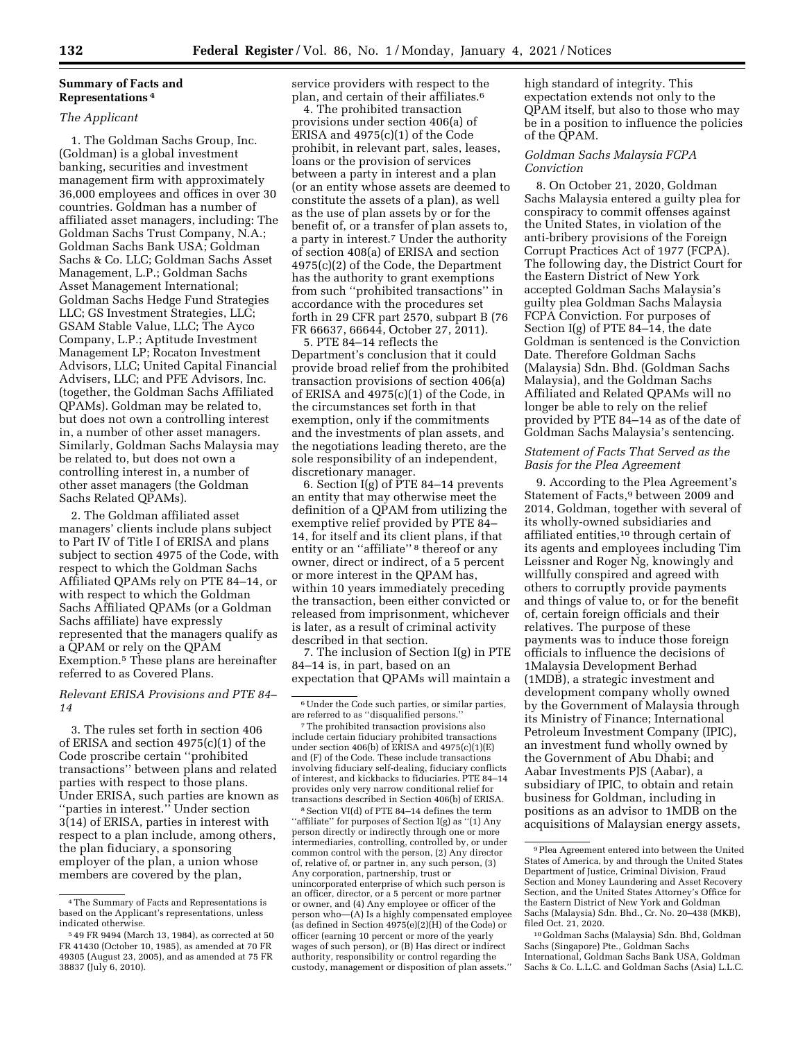## **Summary of Facts and Representations 4**

# *The Applicant*

1. The Goldman Sachs Group, Inc. (Goldman) is a global investment banking, securities and investment management firm with approximately 36,000 employees and offices in over 30 countries. Goldman has a number of affiliated asset managers, including: The Goldman Sachs Trust Company, N.A.; Goldman Sachs Bank USA; Goldman Sachs & Co. LLC; Goldman Sachs Asset Management, L.P.; Goldman Sachs Asset Management International; Goldman Sachs Hedge Fund Strategies LLC; GS Investment Strategies, LLC; GSAM Stable Value, LLC; The Ayco Company, L.P.; Aptitude Investment Management LP; Rocaton Investment Advisors, LLC; United Capital Financial Advisers, LLC; and PFE Advisors, Inc. (together, the Goldman Sachs Affiliated QPAMs). Goldman may be related to, but does not own a controlling interest in, a number of other asset managers. Similarly, Goldman Sachs Malaysia may be related to, but does not own a controlling interest in, a number of other asset managers (the Goldman Sachs Related QPAMs).

2. The Goldman affiliated asset managers' clients include plans subject to Part IV of Title I of ERISA and plans subject to section 4975 of the Code, with respect to which the Goldman Sachs Affiliated QPAMs rely on PTE 84–14, or with respect to which the Goldman Sachs Affiliated QPAMs (or a Goldman Sachs affiliate) have expressly represented that the managers qualify as a QPAM or rely on the QPAM Exemption.5 These plans are hereinafter referred to as Covered Plans.

*Relevant ERISA Provisions and PTE 84– 14* 

3. The rules set forth in section 406 of ERISA and section 4975(c)(1) of the Code proscribe certain ''prohibited transactions'' between plans and related parties with respect to those plans. Under ERISA, such parties are known as ''parties in interest.'' Under section 3(14) of ERISA, parties in interest with respect to a plan include, among others, the plan fiduciary, a sponsoring employer of the plan, a union whose members are covered by the plan,

service providers with respect to the plan, and certain of their affiliates.6

4. The prohibited transaction provisions under section 406(a) of ERISA and 4975(c)(1) of the Code prohibit, in relevant part, sales, leases, loans or the provision of services between a party in interest and a plan (or an entity whose assets are deemed to constitute the assets of a plan), as well as the use of plan assets by or for the benefit of, or a transfer of plan assets to, a party in interest.7 Under the authority of section 408(a) of ERISA and section 4975(c)(2) of the Code, the Department has the authority to grant exemptions from such ''prohibited transactions'' in accordance with the procedures set forth in 29 CFR part 2570, subpart B (76 FR 66637, 66644, October 27, 2011).

5. PTE 84–14 reflects the Department's conclusion that it could provide broad relief from the prohibited transaction provisions of section 406(a) of ERISA and 4975(c)(1) of the Code, in the circumstances set forth in that exemption, only if the commitments and the investments of plan assets, and the negotiations leading thereto, are the sole responsibility of an independent, discretionary manager.

6. Section I(g) of PTE 84–14 prevents an entity that may otherwise meet the definition of a QPAM from utilizing the exemptive relief provided by PTE 84– 14, for itself and its client plans, if that entity or an "affiliate" <sup>8</sup> thereof or any owner, direct or indirect, of a 5 percent or more interest in the QPAM has, within 10 years immediately preceding the transaction, been either convicted or released from imprisonment, whichever is later, as a result of criminal activity described in that section.

7. The inclusion of Section I(g) in PTE 84–14 is, in part, based on an expectation that QPAMs will maintain a

7The prohibited transaction provisions also include certain fiduciary prohibited transactions under section 406(b) of ERISA and 4975(c)(1)(E) and (F) of the Code. These include transactions involving fiduciary self-dealing, fiduciary conflicts of interest, and kickbacks to fiduciaries. PTE 84–14 provides only very narrow conditional relief for transactions described in Section 406(b) of ERISA.

8Section VI(d) of PTE 84–14 defines the term ''affiliate'' for purposes of Section I(g) as ''(1) Any person directly or indirectly through one or more intermediaries, controlling, controlled by, or under common control with the person, (2) Any director of, relative of, or partner in, any such person, (3) Any corporation, partnership, trust or unincorporated enterprise of which such person is an officer, director, or a 5 percent or more partner or owner, and (4) Any employee or officer of the person who—(A) Is a highly compensated employee (as defined in Section  $4975(e)(2)(H)$  of the Code) or officer (earning 10 percent or more of the yearly wages of such person), or (B) Has direct or indirect authority, responsibility or control regarding the custody, management or disposition of plan assets.''

high standard of integrity. This expectation extends not only to the QPAM itself, but also to those who may be in a position to influence the policies of the QPAM.

## *Goldman Sachs Malaysia FCPA Conviction*

8. On October 21, 2020, Goldman Sachs Malaysia entered a guilty plea for conspiracy to commit offenses against the United States, in violation of the anti-bribery provisions of the Foreign Corrupt Practices Act of 1977 (FCPA). The following day, the District Court for the Eastern District of New York accepted Goldman Sachs Malaysia's guilty plea Goldman Sachs Malaysia FCPA Conviction. For purposes of Section I(g) of PTE 84–14, the date Goldman is sentenced is the Conviction Date. Therefore Goldman Sachs (Malaysia) Sdn. Bhd. (Goldman Sachs Malaysia), and the Goldman Sachs Affiliated and Related QPAMs will no longer be able to rely on the relief provided by PTE 84–14 as of the date of Goldman Sachs Malaysia's sentencing.

## *Statement of Facts That Served as the Basis for the Plea Agreement*

9. According to the Plea Agreement's Statement of Facts,<sup>9</sup> between 2009 and 2014, Goldman, together with several of its wholly-owned subsidiaries and affiliated entities,10 through certain of its agents and employees including Tim Leissner and Roger Ng, knowingly and willfully conspired and agreed with others to corruptly provide payments and things of value to, or for the benefit of, certain foreign officials and their relatives. The purpose of these payments was to induce those foreign officials to influence the decisions of 1Malaysia Development Berhad (1MDB), a strategic investment and development company wholly owned by the Government of Malaysia through its Ministry of Finance; International Petroleum Investment Company (IPIC), an investment fund wholly owned by the Government of Abu Dhabi; and Aabar Investments PJS (Aabar), a subsidiary of IPIC, to obtain and retain business for Goldman, including in positions as an advisor to 1MDB on the acquisitions of Malaysian energy assets,

10 Goldman Sachs (Malaysia) Sdn. Bhd, Goldman Sachs (Singapore) Pte., Goldman Sachs International, Goldman Sachs Bank USA, Goldman Sachs & Co. L.L.C. and Goldman Sachs (Asia) L.L.C.

<sup>4</sup>The Summary of Facts and Representations is based on the Applicant's representations, unless indicated otherwise.

<sup>5</sup> 49 FR 9494 (March 13, 1984), as corrected at 50 FR 41430 (October 10, 1985), as amended at 70 FR 49305 (August 23, 2005), and as amended at 75 FR 38837 (July 6, 2010).

<sup>6</sup>Under the Code such parties, or similar parties, are referred to as ''disqualified persons.''

<sup>9</sup>Plea Agreement entered into between the United States of America, by and through the United States Department of Justice, Criminal Division, Fraud Section and Money Laundering and Asset Recovery Section, and the United States Attorney's Office for the Eastern District of New York and Goldman Sachs (Malaysia) Sdn. Bhd., Cr. No. 20–438 (MKB), filed Oct. 21, 2020.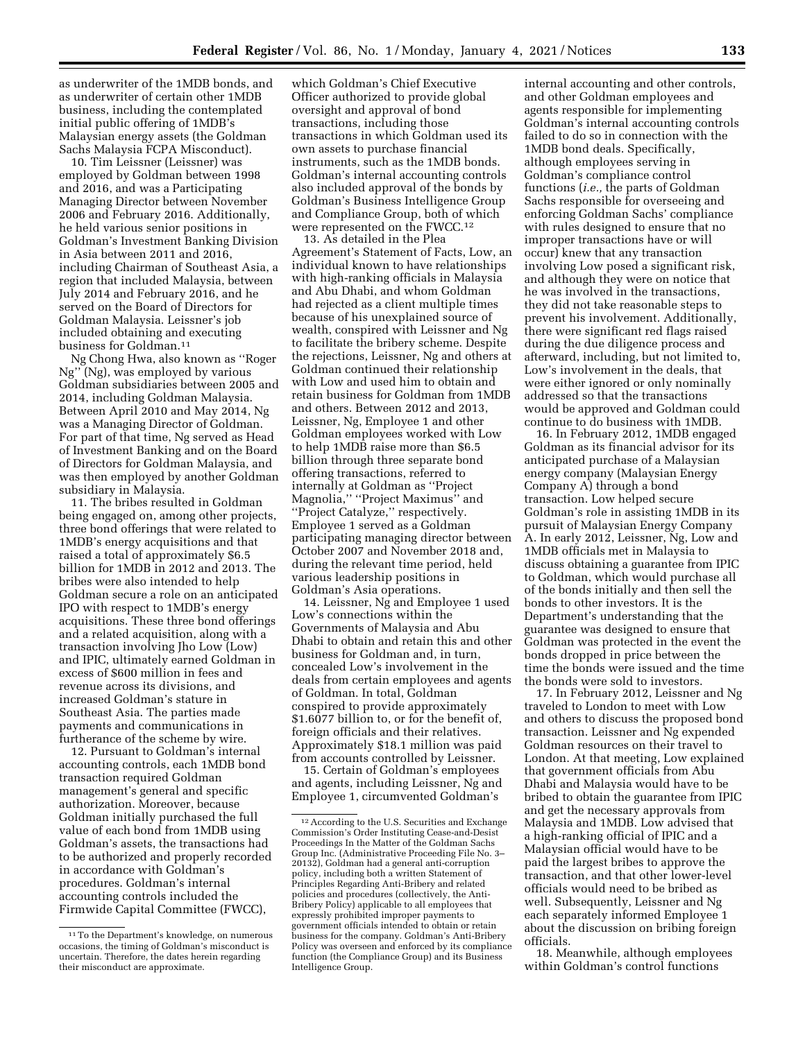as underwriter of the 1MDB bonds, and as underwriter of certain other 1MDB business, including the contemplated initial public offering of 1MDB's Malaysian energy assets (the Goldman Sachs Malaysia FCPA Misconduct).

10. Tim Leissner (Leissner) was employed by Goldman between 1998 and 2016, and was a Participating Managing Director between November 2006 and February 2016. Additionally, he held various senior positions in Goldman's Investment Banking Division in Asia between 2011 and 2016, including Chairman of Southeast Asia, a region that included Malaysia, between July 2014 and February 2016, and he served on the Board of Directors for Goldman Malaysia. Leissner's job included obtaining and executing business for Goldman.11

Ng Chong Hwa, also known as ''Roger Ng'' (Ng), was employed by various Goldman subsidiaries between 2005 and 2014, including Goldman Malaysia. Between April 2010 and May 2014, Ng was a Managing Director of Goldman. For part of that time, Ng served as Head of Investment Banking and on the Board of Directors for Goldman Malaysia, and was then employed by another Goldman subsidiary in Malaysia.

11. The bribes resulted in Goldman being engaged on, among other projects, three bond offerings that were related to 1MDB's energy acquisitions and that raised a total of approximately \$6.5 billion for 1MDB in 2012 and 2013. The bribes were also intended to help Goldman secure a role on an anticipated IPO with respect to 1MDB's energy acquisitions. These three bond offerings and a related acquisition, along with a transaction involving Jho Low (Low) and IPIC, ultimately earned Goldman in excess of \$600 million in fees and revenue across its divisions, and increased Goldman's stature in Southeast Asia. The parties made payments and communications in furtherance of the scheme by wire.

12. Pursuant to Goldman's internal accounting controls, each 1MDB bond transaction required Goldman management's general and specific authorization. Moreover, because Goldman initially purchased the full value of each bond from 1MDB using Goldman's assets, the transactions had to be authorized and properly recorded in accordance with Goldman's procedures. Goldman's internal accounting controls included the Firmwide Capital Committee (FWCC),

which Goldman's Chief Executive Officer authorized to provide global oversight and approval of bond transactions, including those transactions in which Goldman used its own assets to purchase financial instruments, such as the 1MDB bonds. Goldman's internal accounting controls also included approval of the bonds by Goldman's Business Intelligence Group and Compliance Group, both of which were represented on the FWCC.12

13. As detailed in the Plea Agreement's Statement of Facts, Low, an individual known to have relationships with high-ranking officials in Malaysia and Abu Dhabi, and whom Goldman had rejected as a client multiple times because of his unexplained source of wealth, conspired with Leissner and Ng to facilitate the bribery scheme. Despite the rejections, Leissner, Ng and others at Goldman continued their relationship with Low and used him to obtain and retain business for Goldman from 1MDB and others. Between 2012 and 2013, Leissner, Ng, Employee 1 and other Goldman employees worked with Low to help 1MDB raise more than \$6.5 billion through three separate bond offering transactions, referred to internally at Goldman as ''Project Magnolia,'' ''Project Maximus'' and ''Project Catalyze,'' respectively. Employee 1 served as a Goldman participating managing director between October 2007 and November 2018 and, during the relevant time period, held various leadership positions in Goldman's Asia operations.

14. Leissner, Ng and Employee 1 used Low's connections within the Governments of Malaysia and Abu Dhabi to obtain and retain this and other business for Goldman and, in turn, concealed Low's involvement in the deals from certain employees and agents of Goldman. In total, Goldman conspired to provide approximately \$1.6077 billion to, or for the benefit of, foreign officials and their relatives. Approximately \$18.1 million was paid from accounts controlled by Leissner.

15. Certain of Goldman's employees and agents, including Leissner, Ng and Employee 1, circumvented Goldman's

internal accounting and other controls, and other Goldman employees and agents responsible for implementing Goldman's internal accounting controls failed to do so in connection with the 1MDB bond deals. Specifically, although employees serving in Goldman's compliance control functions (*i.e.,* the parts of Goldman Sachs responsible for overseeing and enforcing Goldman Sachs' compliance with rules designed to ensure that no improper transactions have or will occur) knew that any transaction involving Low posed a significant risk, and although they were on notice that he was involved in the transactions, they did not take reasonable steps to prevent his involvement. Additionally, there were significant red flags raised during the due diligence process and afterward, including, but not limited to, Low's involvement in the deals, that were either ignored or only nominally addressed so that the transactions would be approved and Goldman could continue to do business with 1MDB.

16. In February 2012, 1MDB engaged Goldman as its financial advisor for its anticipated purchase of a Malaysian energy company (Malaysian Energy Company A) through a bond transaction. Low helped secure Goldman's role in assisting 1MDB in its pursuit of Malaysian Energy Company A. In early 2012, Leissner, Ng, Low and 1MDB officials met in Malaysia to discuss obtaining a guarantee from IPIC to Goldman, which would purchase all of the bonds initially and then sell the bonds to other investors. It is the Department's understanding that the guarantee was designed to ensure that Goldman was protected in the event the bonds dropped in price between the time the bonds were issued and the time the bonds were sold to investors.

17. In February 2012, Leissner and Ng traveled to London to meet with Low and others to discuss the proposed bond transaction. Leissner and Ng expended Goldman resources on their travel to London. At that meeting, Low explained that government officials from Abu Dhabi and Malaysia would have to be bribed to obtain the guarantee from IPIC and get the necessary approvals from Malaysia and 1MDB. Low advised that a high-ranking official of IPIC and a Malaysian official would have to be paid the largest bribes to approve the transaction, and that other lower-level officials would need to be bribed as well. Subsequently, Leissner and Ng each separately informed Employee 1 about the discussion on bribing foreign officials.

18. Meanwhile, although employees within Goldman's control functions

<sup>11</sup>To the Department's knowledge, on numerous occasions, the timing of Goldman's misconduct is uncertain. Therefore, the dates herein regarding their misconduct are approximate.

<sup>12</sup>According to the U.S. Securities and Exchange Commission's Order Instituting Cease-and-Desist Proceedings In the Matter of the Goldman Sachs Group Inc. (Administrative Proceeding File No. 3– 20132), Goldman had a general anti-corruption policy, including both a written Statement of Principles Regarding Anti-Bribery and related policies and procedures (collectively, the Anti-Bribery Policy) applicable to all employees that expressly prohibited improper payments to government officials intended to obtain or retain business for the company. Goldman's Anti-Bribery Policy was overseen and enforced by its compliance function (the Compliance Group) and its Business Intelligence Group.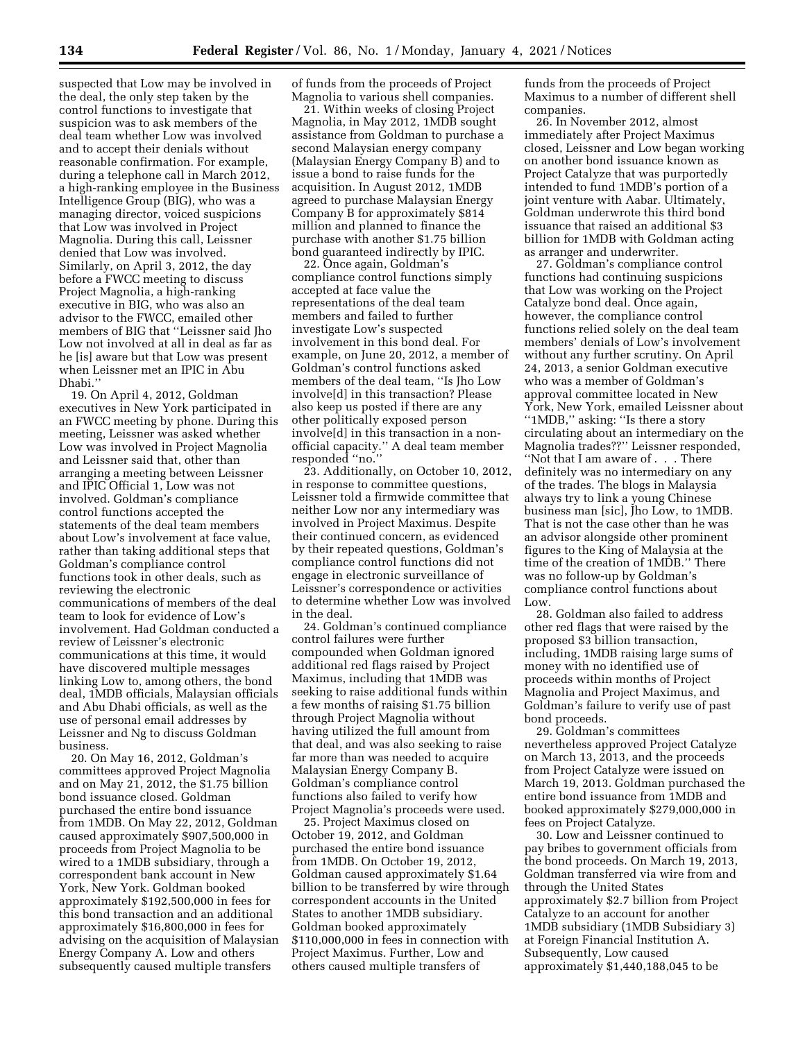suspected that Low may be involved in the deal, the only step taken by the control functions to investigate that suspicion was to ask members of the deal team whether Low was involved and to accept their denials without reasonable confirmation. For example, during a telephone call in March 2012, a high-ranking employee in the Business Intelligence Group (BIG), who was a managing director, voiced suspicions that Low was involved in Project Magnolia. During this call, Leissner denied that Low was involved. Similarly, on April 3, 2012, the day before a FWCC meeting to discuss Project Magnolia, a high-ranking executive in BIG, who was also an advisor to the FWCC, emailed other members of BIG that ''Leissner said Jho Low not involved at all in deal as far as he [is] aware but that Low was present when Leissner met an IPIC in Abu Dhabi.''

19. On April 4, 2012, Goldman executives in New York participated in an FWCC meeting by phone. During this meeting, Leissner was asked whether Low was involved in Project Magnolia and Leissner said that, other than arranging a meeting between Leissner and IPIC Official 1, Low was not involved. Goldman's compliance control functions accepted the statements of the deal team members about Low's involvement at face value, rather than taking additional steps that Goldman's compliance control functions took in other deals, such as reviewing the electronic communications of members of the deal team to look for evidence of Low's involvement. Had Goldman conducted a review of Leissner's electronic communications at this time, it would have discovered multiple messages linking Low to, among others, the bond deal, 1MDB officials, Malaysian officials and Abu Dhabi officials, as well as the use of personal email addresses by Leissner and Ng to discuss Goldman business.

20. On May 16, 2012, Goldman's committees approved Project Magnolia and on May 21, 2012, the \$1.75 billion bond issuance closed. Goldman purchased the entire bond issuance from 1MDB. On May 22, 2012, Goldman caused approximately \$907,500,000 in proceeds from Project Magnolia to be wired to a 1MDB subsidiary, through a correspondent bank account in New York, New York. Goldman booked approximately \$192,500,000 in fees for this bond transaction and an additional approximately \$16,800,000 in fees for advising on the acquisition of Malaysian Energy Company A. Low and others subsequently caused multiple transfers

of funds from the proceeds of Project Magnolia to various shell companies.

21. Within weeks of closing Project Magnolia, in May 2012, 1MDB sought assistance from Goldman to purchase a second Malaysian energy company (Malaysian Energy Company B) and to issue a bond to raise funds for the acquisition. In August 2012, 1MDB agreed to purchase Malaysian Energy Company B for approximately \$814 million and planned to finance the purchase with another \$1.75 billion bond guaranteed indirectly by IPIC.

22. Once again, Goldman's compliance control functions simply accepted at face value the representations of the deal team members and failed to further investigate Low's suspected involvement in this bond deal. For example, on June 20, 2012, a member of Goldman's control functions asked members of the deal team, ''Is Jho Low involve[d] in this transaction? Please also keep us posted if there are any other politically exposed person involve[d] in this transaction in a nonofficial capacity.'' A deal team member responded ''no.''

23. Additionally, on October 10, 2012, in response to committee questions, Leissner told a firmwide committee that neither Low nor any intermediary was involved in Project Maximus. Despite their continued concern, as evidenced by their repeated questions, Goldman's compliance control functions did not engage in electronic surveillance of Leissner's correspondence or activities to determine whether Low was involved in the deal.

24. Goldman's continued compliance control failures were further compounded when Goldman ignored additional red flags raised by Project Maximus, including that 1MDB was seeking to raise additional funds within a few months of raising \$1.75 billion through Project Magnolia without having utilized the full amount from that deal, and was also seeking to raise far more than was needed to acquire Malaysian Energy Company B. Goldman's compliance control functions also failed to verify how Project Magnolia's proceeds were used.

25. Project Maximus closed on October 19, 2012, and Goldman purchased the entire bond issuance from 1MDB. On October 19, 2012, Goldman caused approximately \$1.64 billion to be transferred by wire through correspondent accounts in the United States to another 1MDB subsidiary. Goldman booked approximately \$110,000,000 in fees in connection with Project Maximus. Further, Low and others caused multiple transfers of

funds from the proceeds of Project Maximus to a number of different shell companies.

26. In November 2012, almost immediately after Project Maximus closed, Leissner and Low began working on another bond issuance known as Project Catalyze that was purportedly intended to fund 1MDB's portion of a joint venture with Aabar. Ultimately, Goldman underwrote this third bond issuance that raised an additional \$3 billion for 1MDB with Goldman acting as arranger and underwriter.

27. Goldman's compliance control functions had continuing suspicions that Low was working on the Project Catalyze bond deal. Once again, however, the compliance control functions relied solely on the deal team members' denials of Low's involvement without any further scrutiny. On April 24, 2013, a senior Goldman executive who was a member of Goldman's approval committee located in New York, New York, emailed Leissner about ''1MDB,'' asking: ''Is there a story circulating about an intermediary on the Magnolia trades??'' Leissner responded, ''Not that I am aware of . . . There definitely was no intermediary on any of the trades. The blogs in Malaysia always try to link a young Chinese business man [sic], Jho Low, to 1MDB. That is not the case other than he was an advisor alongside other prominent figures to the King of Malaysia at the time of the creation of 1MDB.'' There was no follow-up by Goldman's compliance control functions about Low.

28. Goldman also failed to address other red flags that were raised by the proposed \$3 billion transaction, including, 1MDB raising large sums of money with no identified use of proceeds within months of Project Magnolia and Project Maximus, and Goldman's failure to verify use of past bond proceeds.

29. Goldman's committees nevertheless approved Project Catalyze on March 13, 2013, and the proceeds from Project Catalyze were issued on March 19, 2013. Goldman purchased the entire bond issuance from 1MDB and booked approximately \$279,000,000 in fees on Project Catalyze.

30. Low and Leissner continued to pay bribes to government officials from the bond proceeds. On March 19, 2013, Goldman transferred via wire from and through the United States approximately \$2.7 billion from Project Catalyze to an account for another 1MDB subsidiary (1MDB Subsidiary 3) at Foreign Financial Institution A. Subsequently, Low caused approximately \$1,440,188,045 to be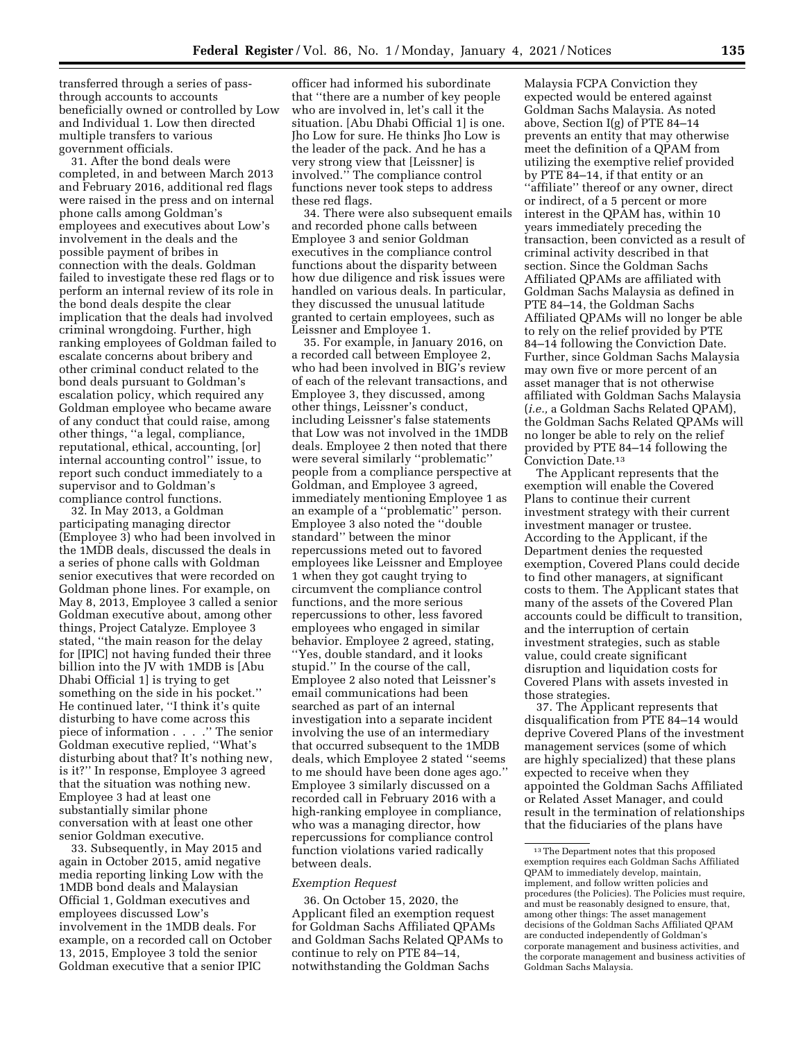transferred through a series of passthrough accounts to accounts beneficially owned or controlled by Low and Individual 1. Low then directed multiple transfers to various government officials.

31. After the bond deals were completed, in and between March 2013 and February 2016, additional red flags were raised in the press and on internal phone calls among Goldman's employees and executives about Low's involvement in the deals and the possible payment of bribes in connection with the deals. Goldman failed to investigate these red flags or to perform an internal review of its role in the bond deals despite the clear implication that the deals had involved criminal wrongdoing. Further, high ranking employees of Goldman failed to escalate concerns about bribery and other criminal conduct related to the bond deals pursuant to Goldman's escalation policy, which required any Goldman employee who became aware of any conduct that could raise, among other things, ''a legal, compliance, reputational, ethical, accounting, [or] internal accounting control'' issue, to report such conduct immediately to a supervisor and to Goldman's compliance control functions.

32. In May 2013, a Goldman participating managing director (Employee 3) who had been involved in the 1MDB deals, discussed the deals in a series of phone calls with Goldman senior executives that were recorded on Goldman phone lines. For example, on May 8, 2013, Employee 3 called a senior Goldman executive about, among other things, Project Catalyze. Employee 3 stated, ''the main reason for the delay for [IPIC] not having funded their three billion into the JV with 1MDB is [Abu Dhabi Official 1] is trying to get something on the side in his pocket.'' He continued later, ''I think it's quite disturbing to have come across this piece of information . . . .'' The senior Goldman executive replied, ''What's disturbing about that? It's nothing new, is it?'' In response, Employee 3 agreed that the situation was nothing new. Employee 3 had at least one substantially similar phone conversation with at least one other senior Goldman executive.

33. Subsequently, in May 2015 and again in October 2015, amid negative media reporting linking Low with the 1MDB bond deals and Malaysian Official 1, Goldman executives and employees discussed Low's involvement in the 1MDB deals. For example, on a recorded call on October 13, 2015, Employee 3 told the senior Goldman executive that a senior IPIC

officer had informed his subordinate that ''there are a number of key people who are involved in, let's call it the situation. [Abu Dhabi Official 1] is one. Jho Low for sure. He thinks Jho Low is the leader of the pack. And he has a very strong view that [Leissner] is involved.'' The compliance control functions never took steps to address these red flags.

34. There were also subsequent emails and recorded phone calls between Employee 3 and senior Goldman executives in the compliance control functions about the disparity between how due diligence and risk issues were handled on various deals. In particular, they discussed the unusual latitude granted to certain employees, such as Leissner and Employee 1.

35. For example, in January 2016, on a recorded call between Employee 2, who had been involved in BIG's review of each of the relevant transactions, and Employee 3, they discussed, among other things, Leissner's conduct, including Leissner's false statements that Low was not involved in the 1MDB deals. Employee 2 then noted that there were several similarly ''problematic'' people from a compliance perspective at Goldman, and Employee 3 agreed, immediately mentioning Employee 1 as an example of a ''problematic'' person. Employee 3 also noted the ''double standard'' between the minor repercussions meted out to favored employees like Leissner and Employee 1 when they got caught trying to circumvent the compliance control functions, and the more serious repercussions to other, less favored employees who engaged in similar behavior. Employee 2 agreed, stating, ''Yes, double standard, and it looks stupid.'' In the course of the call, Employee 2 also noted that Leissner's email communications had been searched as part of an internal investigation into a separate incident involving the use of an intermediary that occurred subsequent to the 1MDB deals, which Employee 2 stated ''seems to me should have been done ages ago.'' Employee 3 similarly discussed on a recorded call in February 2016 with a high-ranking employee in compliance, who was a managing director, how repercussions for compliance control function violations varied radically between deals.

#### *Exemption Request*

36. On October 15, 2020, the Applicant filed an exemption request for Goldman Sachs Affiliated QPAMs and Goldman Sachs Related QPAMs to continue to rely on PTE 84–14, notwithstanding the Goldman Sachs

Malaysia FCPA Conviction they expected would be entered against Goldman Sachs Malaysia. As noted above, Section I(g) of PTE 84–14 prevents an entity that may otherwise meet the definition of a QPAM from utilizing the exemptive relief provided by PTE 84–14, if that entity or an ''affiliate'' thereof or any owner, direct or indirect, of a 5 percent or more interest in the QPAM has, within 10 years immediately preceding the transaction, been convicted as a result of criminal activity described in that section. Since the Goldman Sachs Affiliated QPAMs are affiliated with Goldman Sachs Malaysia as defined in PTE 84–14, the Goldman Sachs Affiliated QPAMs will no longer be able to rely on the relief provided by PTE 84–14 following the Conviction Date. Further, since Goldman Sachs Malaysia may own five or more percent of an asset manager that is not otherwise affiliated with Goldman Sachs Malaysia (*i.e.,* a Goldman Sachs Related QPAM), the Goldman Sachs Related QPAMs will no longer be able to rely on the relief provided by PTE 84–14 following the Conviction Date.13

The Applicant represents that the exemption will enable the Covered Plans to continue their current investment strategy with their current investment manager or trustee. According to the Applicant, if the Department denies the requested exemption, Covered Plans could decide to find other managers, at significant costs to them. The Applicant states that many of the assets of the Covered Plan accounts could be difficult to transition, and the interruption of certain investment strategies, such as stable value, could create significant disruption and liquidation costs for Covered Plans with assets invested in those strategies.

37. The Applicant represents that disqualification from PTE 84–14 would deprive Covered Plans of the investment management services (some of which are highly specialized) that these plans expected to receive when they appointed the Goldman Sachs Affiliated or Related Asset Manager, and could result in the termination of relationships that the fiduciaries of the plans have

<sup>13</sup>The Department notes that this proposed exemption requires each Goldman Sachs Affiliated QPAM to immediately develop, maintain, implement, and follow written policies and procedures (the Policies). The Policies must require, and must be reasonably designed to ensure, that, among other things: The asset management decisions of the Goldman Sachs Affiliated QPAM are conducted independently of Goldman's corporate management and business activities, and the corporate management and business activities of Goldman Sachs Malaysia.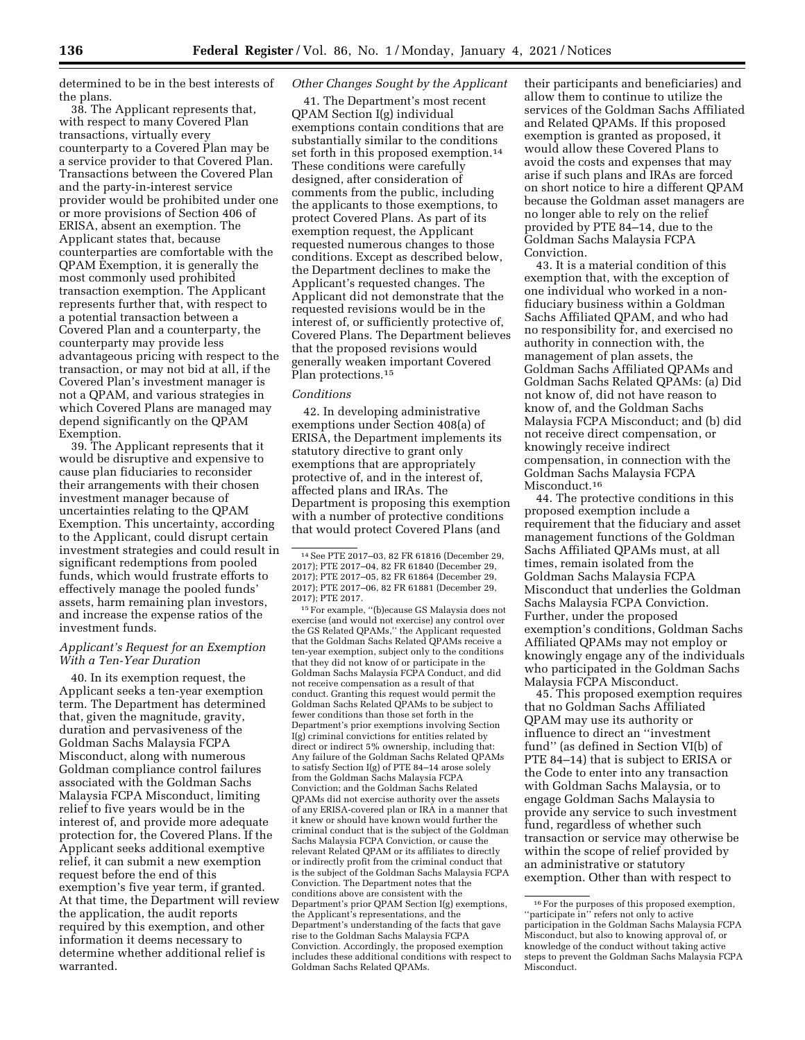determined to be in the best interests of the plans.

38. The Applicant represents that, with respect to many Covered Plan transactions, virtually every counterparty to a Covered Plan may be a service provider to that Covered Plan. Transactions between the Covered Plan and the party-in-interest service provider would be prohibited under one or more provisions of Section 406 of ERISA, absent an exemption. The Applicant states that, because counterparties are comfortable with the QPAM Exemption, it is generally the most commonly used prohibited transaction exemption. The Applicant represents further that, with respect to a potential transaction between a Covered Plan and a counterparty, the counterparty may provide less advantageous pricing with respect to the transaction, or may not bid at all, if the Covered Plan's investment manager is not a QPAM, and various strategies in which Covered Plans are managed may depend significantly on the QPAM Exemption.

39. The Applicant represents that it would be disruptive and expensive to cause plan fiduciaries to reconsider their arrangements with their chosen investment manager because of uncertainties relating to the QPAM Exemption. This uncertainty, according to the Applicant, could disrupt certain investment strategies and could result in significant redemptions from pooled funds, which would frustrate efforts to effectively manage the pooled funds' assets, harm remaining plan investors, and increase the expense ratios of the investment funds.

## *Applicant's Request for an Exemption With a Ten-Year Duration*

40. In its exemption request, the Applicant seeks a ten-year exemption term. The Department has determined that, given the magnitude, gravity, duration and pervasiveness of the Goldman Sachs Malaysia FCPA Misconduct, along with numerous Goldman compliance control failures associated with the Goldman Sachs Malaysia FCPA Misconduct, limiting relief to five years would be in the interest of, and provide more adequate protection for, the Covered Plans. If the Applicant seeks additional exemptive relief, it can submit a new exemption request before the end of this exemption's five year term, if granted. At that time, the Department will review the application, the audit reports required by this exemption, and other information it deems necessary to determine whether additional relief is warranted.

## *Other Changes Sought by the Applicant*

41. The Department's most recent QPAM Section I(g) individual exemptions contain conditions that are substantially similar to the conditions set forth in this proposed exemption.<sup>14</sup> These conditions were carefully designed, after consideration of comments from the public, including the applicants to those exemptions, to protect Covered Plans. As part of its exemption request, the Applicant requested numerous changes to those conditions. Except as described below, the Department declines to make the Applicant's requested changes. The Applicant did not demonstrate that the requested revisions would be in the interest of, or sufficiently protective of, Covered Plans. The Department believes that the proposed revisions would generally weaken important Covered Plan protections.15

#### *Conditions*

42. In developing administrative exemptions under Section 408(a) of ERISA, the Department implements its statutory directive to grant only exemptions that are appropriately protective of, and in the interest of, affected plans and IRAs. The Department is proposing this exemption with a number of protective conditions that would protect Covered Plans (and

15For example, ''(b)ecause GS Malaysia does not exercise (and would not exercise) any control over the GS Related QPAMs,'' the Applicant requested that the Goldman Sachs Related QPAMs receive a ten-year exemption, subject only to the conditions that they did not know of or participate in the Goldman Sachs Malaysia FCPA Conduct, and did not receive compensation as a result of that conduct. Granting this request would permit the Goldman Sachs Related QPAMs to be subject to fewer conditions than those set forth in the Department's prior exemptions involving Section I(g) criminal convictions for entities related by direct or indirect 5% ownership, including that: Any failure of the Goldman Sachs Related QPAMs to satisfy Section I(g) of PTE 84–14 arose solely from the Goldman Sachs Malaysia FCPA Conviction; and the Goldman Sachs Related QPAMs did not exercise authority over the assets of any ERISA-covered plan or IRA in a manner that it knew or should have known would further the criminal conduct that is the subject of the Goldman Sachs Malaysia FCPA Conviction, or cause the relevant Related QPAM or its affiliates to directly or indirectly profit from the criminal conduct that is the subject of the Goldman Sachs Malaysia FCPA Conviction. The Department notes that the conditions above are consistent with the Department's prior QPAM Section I(g) exemptions, the Applicant's representations, and the Department's understanding of the facts that gave rise to the Goldman Sachs Malaysia FCPA Conviction. Accordingly, the proposed exemption includes these additional conditions with respect to Goldman Sachs Related QPAMs.

their participants and beneficiaries) and allow them to continue to utilize the services of the Goldman Sachs Affiliated and Related QPAMs. If this proposed exemption is granted as proposed, it would allow these Covered Plans to avoid the costs and expenses that may arise if such plans and IRAs are forced on short notice to hire a different QPAM because the Goldman asset managers are no longer able to rely on the relief provided by PTE 84–14, due to the Goldman Sachs Malaysia FCPA Conviction.

43. It is a material condition of this exemption that, with the exception of one individual who worked in a nonfiduciary business within a Goldman Sachs Affiliated QPAM, and who had no responsibility for, and exercised no authority in connection with, the management of plan assets, the Goldman Sachs Affiliated QPAMs and Goldman Sachs Related QPAMs: (a) Did not know of, did not have reason to know of, and the Goldman Sachs Malaysia FCPA Misconduct; and (b) did not receive direct compensation, or knowingly receive indirect compensation, in connection with the Goldman Sachs Malaysia FCPA Misconduct.<sup>16</sup>

44. The protective conditions in this proposed exemption include a requirement that the fiduciary and asset management functions of the Goldman Sachs Affiliated QPAMs must, at all times, remain isolated from the Goldman Sachs Malaysia FCPA Misconduct that underlies the Goldman Sachs Malaysia FCPA Conviction. Further, under the proposed exemption's conditions, Goldman Sachs Affiliated QPAMs may not employ or knowingly engage any of the individuals who participated in the Goldman Sachs Malaysia FCPA Misconduct.

45. This proposed exemption requires that no Goldman Sachs Affiliated QPAM may use its authority or influence to direct an ''investment fund'' (as defined in Section VI(b) of PTE 84–14) that is subject to ERISA or the Code to enter into any transaction with Goldman Sachs Malaysia, or to engage Goldman Sachs Malaysia to provide any service to such investment fund, regardless of whether such transaction or service may otherwise be within the scope of relief provided by an administrative or statutory exemption. Other than with respect to

<sup>14</sup>See PTE 2017–03, 82 FR 61816 (December 29, 2017); PTE 2017–04, 82 FR 61840 (December 29, 2017); PTE 2017–05, 82 FR 61864 (December 29, 2017); PTE 2017–06, 82 FR 61881 (December 29, 2017); PTE 2017.

 $^{16}\mathrm{For}$  the purposes of this proposed exemption, ''participate in'' refers not only to active participation in the Goldman Sachs Malaysia FCPA Misconduct, but also to knowing approval of, or knowledge of the conduct without taking active steps to prevent the Goldman Sachs Malaysia FCPA Misconduct.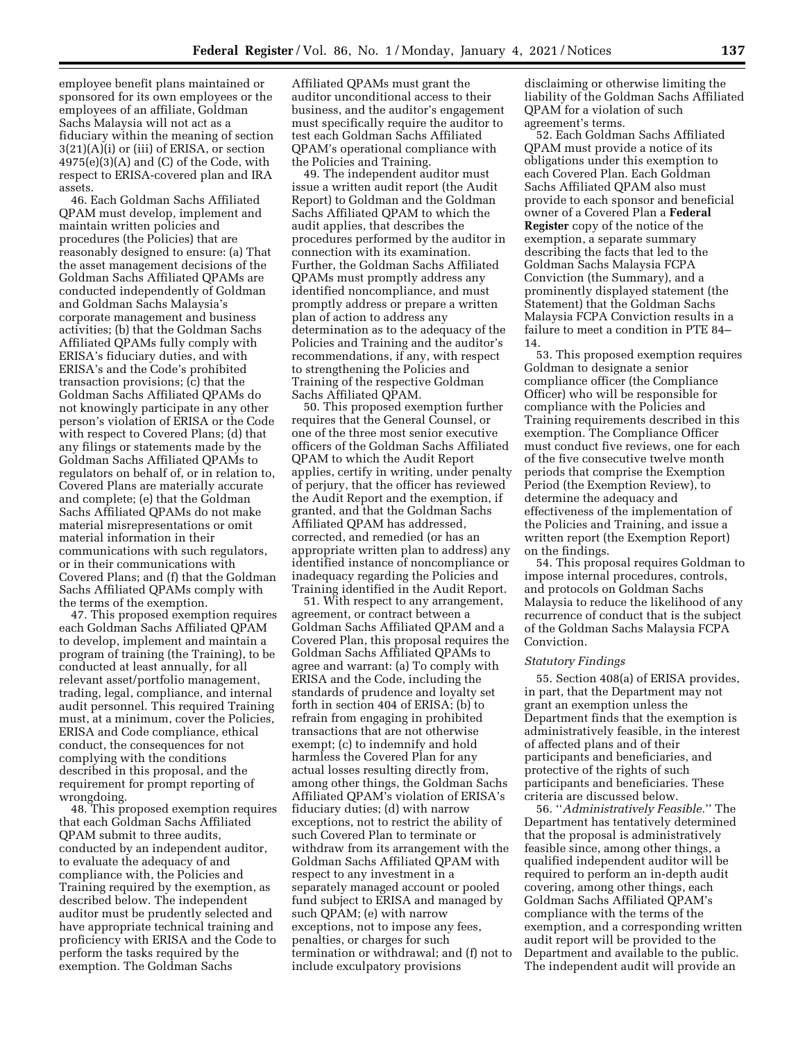employee benefit plans maintained or sponsored for its own employees or the employees of an affiliate, Goldman Sachs Malaysia will not act as a fiduciary within the meaning of section 3(21)(A)(i) or (iii) of ERISA, or section  $4975(e)(3)(A)$  and  $(C)$  of the Code, with respect to ERISA-covered plan and IRA assets.

46. Each Goldman Sachs Affiliated QPAM must develop, implement and maintain written policies and procedures (the Policies) that are reasonably designed to ensure: (a) That the asset management decisions of the Goldman Sachs Affiliated QPAMs are conducted independently of Goldman and Goldman Sachs Malaysia's corporate management and business activities; (b) that the Goldman Sachs Affiliated QPAMs fully comply with ERISA's fiduciary duties, and with ERISA's and the Code's prohibited transaction provisions; (c) that the Goldman Sachs Affiliated QPAMs do not knowingly participate in any other person's violation of ERISA or the Code with respect to Covered Plans; (d) that any filings or statements made by the Goldman Sachs Affiliated QPAMs to regulators on behalf of, or in relation to, Covered Plans are materially accurate and complete; (e) that the Goldman Sachs Affiliated QPAMs do not make material misrepresentations or omit material information in their communications with such regulators, or in their communications with Covered Plans; and (f) that the Goldman Sachs Affiliated QPAMs comply with the terms of the exemption.

47. This proposed exemption requires each Goldman Sachs Affiliated QPAM to develop, implement and maintain a program of training (the Training), to be conducted at least annually, for all relevant asset/portfolio management, trading, legal, compliance, and internal audit personnel. This required Training must, at a minimum, cover the Policies, ERISA and Code compliance, ethical conduct, the consequences for not complying with the conditions described in this proposal, and the requirement for prompt reporting of wrongdoing.

48. This proposed exemption requires that each Goldman Sachs Affiliated QPAM submit to three audits, conducted by an independent auditor, to evaluate the adequacy of and compliance with, the Policies and Training required by the exemption, as described below. The independent auditor must be prudently selected and have appropriate technical training and proficiency with ERISA and the Code to perform the tasks required by the exemption. The Goldman Sachs

Affiliated QPAMs must grant the auditor unconditional access to their business, and the auditor's engagement must specifically require the auditor to test each Goldman Sachs Affiliated QPAM's operational compliance with the Policies and Training.

49. The independent auditor must issue a written audit report (the Audit Report) to Goldman and the Goldman Sachs Affiliated QPAM to which the audit applies, that describes the procedures performed by the auditor in connection with its examination. Further, the Goldman Sachs Affiliated QPAMs must promptly address any identified noncompliance, and must promptly address or prepare a written plan of action to address any determination as to the adequacy of the Policies and Training and the auditor's recommendations, if any, with respect to strengthening the Policies and Training of the respective Goldman Sachs Affiliated QPAM.

50. This proposed exemption further requires that the General Counsel, or one of the three most senior executive officers of the Goldman Sachs Affiliated QPAM to which the Audit Report applies, certify in writing, under penalty of perjury, that the officer has reviewed the Audit Report and the exemption, if granted, and that the Goldman Sachs Affiliated QPAM has addressed, corrected, and remedied (or has an appropriate written plan to address) any identified instance of noncompliance or inadequacy regarding the Policies and Training identified in the Audit Report.

51. With respect to any arrangement, agreement, or contract between a Goldman Sachs Affiliated QPAM and a Covered Plan, this proposal requires the Goldman Sachs Affiliated QPAMs to agree and warrant: (a) To comply with ERISA and the Code, including the standards of prudence and loyalty set forth in section 404 of ERISA; (b) to refrain from engaging in prohibited transactions that are not otherwise exempt; (c) to indemnify and hold harmless the Covered Plan for any actual losses resulting directly from, among other things, the Goldman Sachs Affiliated QPAM's violation of ERISA's fiduciary duties; (d) with narrow exceptions, not to restrict the ability of such Covered Plan to terminate or withdraw from its arrangement with the Goldman Sachs Affiliated QPAM with respect to any investment in a separately managed account or pooled fund subject to ERISA and managed by such QPAM; (e) with narrow exceptions, not to impose any fees, penalties, or charges for such termination or withdrawal; and (f) not to include exculpatory provisions

disclaiming or otherwise limiting the liability of the Goldman Sachs Affiliated QPAM for a violation of such agreement's terms.

52. Each Goldman Sachs Affiliated QPAM must provide a notice of its obligations under this exemption to each Covered Plan. Each Goldman Sachs Affiliated QPAM also must provide to each sponsor and beneficial owner of a Covered Plan a **Federal Register** copy of the notice of the exemption, a separate summary describing the facts that led to the Goldman Sachs Malaysia FCPA Conviction (the Summary), and a prominently displayed statement (the Statement) that the Goldman Sachs Malaysia FCPA Conviction results in a failure to meet a condition in PTE 84– 14.

53. This proposed exemption requires Goldman to designate a senior compliance officer (the Compliance Officer) who will be responsible for compliance with the Policies and Training requirements described in this exemption. The Compliance Officer must conduct five reviews, one for each of the five consecutive twelve month periods that comprise the Exemption Period (the Exemption Review), to determine the adequacy and effectiveness of the implementation of the Policies and Training, and issue a written report (the Exemption Report) on the findings.

54. This proposal requires Goldman to impose internal procedures, controls, and protocols on Goldman Sachs Malaysia to reduce the likelihood of any recurrence of conduct that is the subject of the Goldman Sachs Malaysia FCPA Conviction.

#### *Statutory Findings*

55. Section 408(a) of ERISA provides, in part, that the Department may not grant an exemption unless the Department finds that the exemption is administratively feasible, in the interest of affected plans and of their participants and beneficiaries, and protective of the rights of such participants and beneficiaries. These criteria are discussed below.

56. ''*Administratively Feasible.*'' The Department has tentatively determined that the proposal is administratively feasible since, among other things, a qualified independent auditor will be required to perform an in-depth audit covering, among other things, each Goldman Sachs Affiliated QPAM's compliance with the terms of the exemption, and a corresponding written audit report will be provided to the Department and available to the public. The independent audit will provide an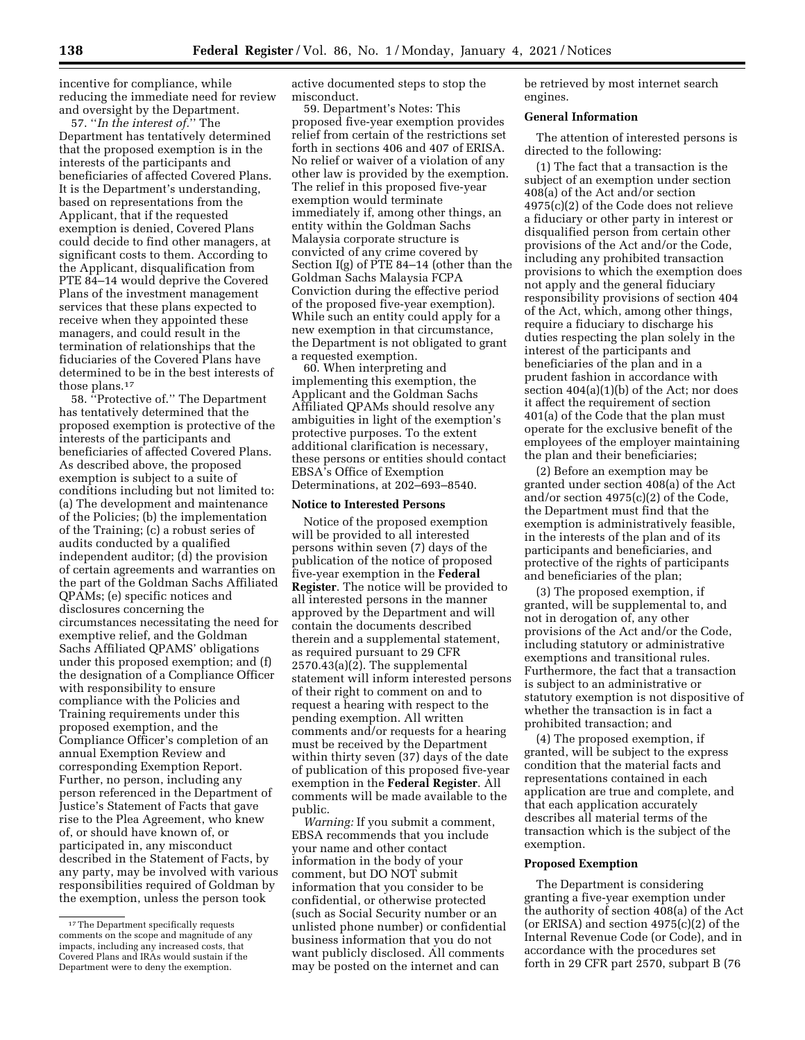incentive for compliance, while reducing the immediate need for review and oversight by the Department.

57. ''*In the interest of.*'' The Department has tentatively determined that the proposed exemption is in the interests of the participants and beneficiaries of affected Covered Plans. It is the Department's understanding, based on representations from the Applicant, that if the requested exemption is denied, Covered Plans could decide to find other managers, at significant costs to them. According to the Applicant, disqualification from PTE 84–14 would deprive the Covered Plans of the investment management services that these plans expected to receive when they appointed these managers, and could result in the termination of relationships that the fiduciaries of the Covered Plans have determined to be in the best interests of those plans.17

58. ''Protective of.'' The Department has tentatively determined that the proposed exemption is protective of the interests of the participants and beneficiaries of affected Covered Plans. As described above, the proposed exemption is subject to a suite of conditions including but not limited to: (a) The development and maintenance of the Policies; (b) the implementation of the Training; (c) a robust series of audits conducted by a qualified independent auditor; (d) the provision of certain agreements and warranties on the part of the Goldman Sachs Affiliated QPAMs; (e) specific notices and disclosures concerning the circumstances necessitating the need for exemptive relief, and the Goldman Sachs Affiliated QPAMS' obligations under this proposed exemption; and (f) the designation of a Compliance Officer with responsibility to ensure compliance with the Policies and Training requirements under this proposed exemption, and the Compliance Officer's completion of an annual Exemption Review and corresponding Exemption Report. Further, no person, including any person referenced in the Department of Justice's Statement of Facts that gave rise to the Plea Agreement, who knew of, or should have known of, or participated in, any misconduct described in the Statement of Facts, by any party, may be involved with various responsibilities required of Goldman by the exemption, unless the person took

active documented steps to stop the misconduct.

59. Department's Notes: This proposed five-year exemption provides relief from certain of the restrictions set forth in sections 406 and 407 of ERISA. No relief or waiver of a violation of any other law is provided by the exemption. The relief in this proposed five-year exemption would terminate immediately if, among other things, an entity within the Goldman Sachs Malaysia corporate structure is convicted of any crime covered by Section I(g) of PTE 84–14 (other than the Goldman Sachs Malaysia FCPA Conviction during the effective period of the proposed five-year exemption). While such an entity could apply for a new exemption in that circumstance, the Department is not obligated to grant a requested exemption.

60. When interpreting and implementing this exemption, the Applicant and the Goldman Sachs Affiliated QPAMs should resolve any ambiguities in light of the exemption's protective purposes. To the extent additional clarification is necessary, these persons or entities should contact EBSA's Office of Exemption Determinations, at 202–693–8540.

#### **Notice to Interested Persons**

Notice of the proposed exemption will be provided to all interested persons within seven (7) days of the publication of the notice of proposed five-year exemption in the **Federal Register**. The notice will be provided to all interested persons in the manner approved by the Department and will contain the documents described therein and a supplemental statement, as required pursuant to 29 CFR 2570.43(a)(2). The supplemental statement will inform interested persons of their right to comment on and to request a hearing with respect to the pending exemption. All written comments and/or requests for a hearing must be received by the Department within thirty seven (37) days of the date of publication of this proposed five-year exemption in the **Federal Register**. All comments will be made available to the public.

*Warning:* If you submit a comment, EBSA recommends that you include your name and other contact information in the body of your comment, but DO NOT submit information that you consider to be confidential, or otherwise protected (such as Social Security number or an unlisted phone number) or confidential business information that you do not want publicly disclosed. All comments may be posted on the internet and can

be retrieved by most internet search engines.

#### **General Information**

The attention of interested persons is directed to the following:

(1) The fact that a transaction is the subject of an exemption under section 408(a) of the Act and/or section 4975(c)(2) of the Code does not relieve a fiduciary or other party in interest or disqualified person from certain other provisions of the Act and/or the Code, including any prohibited transaction provisions to which the exemption does not apply and the general fiduciary responsibility provisions of section 404 of the Act, which, among other things, require a fiduciary to discharge his duties respecting the plan solely in the interest of the participants and beneficiaries of the plan and in a prudent fashion in accordance with section 404(a)(1)(b) of the Act; nor does it affect the requirement of section 401(a) of the Code that the plan must operate for the exclusive benefit of the employees of the employer maintaining the plan and their beneficiaries;

(2) Before an exemption may be granted under section 408(a) of the Act and/or section 4975(c)(2) of the Code, the Department must find that the exemption is administratively feasible, in the interests of the plan and of its participants and beneficiaries, and protective of the rights of participants and beneficiaries of the plan;

(3) The proposed exemption, if granted, will be supplemental to, and not in derogation of, any other provisions of the Act and/or the Code, including statutory or administrative exemptions and transitional rules. Furthermore, the fact that a transaction is subject to an administrative or statutory exemption is not dispositive of whether the transaction is in fact a prohibited transaction; and

(4) The proposed exemption, if granted, will be subject to the express condition that the material facts and representations contained in each application are true and complete, and that each application accurately describes all material terms of the transaction which is the subject of the exemption.

## **Proposed Exemption**

The Department is considering granting a five-year exemption under the authority of section 408(a) of the Act (or ERISA) and section 4975(c)(2) of the Internal Revenue Code (or Code), and in accordance with the procedures set forth in 29 CFR part 2570, subpart B (76

<sup>&</sup>lt;sup>17</sup>The Department specifically requests comments on the scope and magnitude of any impacts, including any increased costs, that Covered Plans and IRAs would sustain if the Department were to deny the exemption.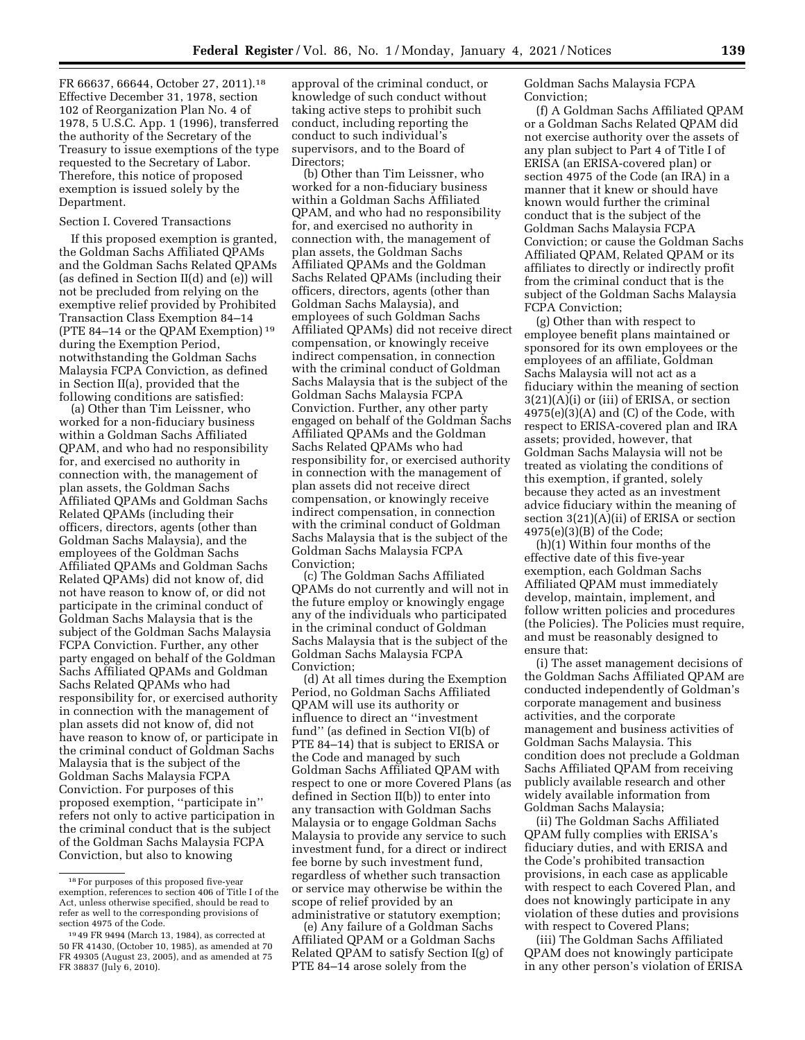FR 66637, 66644, October 27, 2011).18 Effective December 31, 1978, section 102 of Reorganization Plan No. 4 of 1978, 5 U.S.C. App. 1 (1996), transferred the authority of the Secretary of the Treasury to issue exemptions of the type requested to the Secretary of Labor. Therefore, this notice of proposed exemption is issued solely by the Department.

### Section I. Covered Transactions

If this proposed exemption is granted, the Goldman Sachs Affiliated QPAMs and the Goldman Sachs Related QPAMs (as defined in Section II(d) and (e)) will not be precluded from relying on the exemptive relief provided by Prohibited Transaction Class Exemption 84–14 (PTE 84–14 or the QPAM Exemption) 19 during the Exemption Period, notwithstanding the Goldman Sachs Malaysia FCPA Conviction, as defined in Section II(a), provided that the following conditions are satisfied:

(a) Other than Tim Leissner, who worked for a non-fiduciary business within a Goldman Sachs Affiliated QPAM, and who had no responsibility for, and exercised no authority in connection with, the management of plan assets, the Goldman Sachs Affiliated QPAMs and Goldman Sachs Related QPAMs (including their officers, directors, agents (other than Goldman Sachs Malaysia), and the employees of the Goldman Sachs Affiliated QPAMs and Goldman Sachs Related QPAMs) did not know of, did not have reason to know of, or did not participate in the criminal conduct of Goldman Sachs Malaysia that is the subject of the Goldman Sachs Malaysia FCPA Conviction. Further, any other party engaged on behalf of the Goldman Sachs Affiliated QPAMs and Goldman Sachs Related QPAMs who had responsibility for, or exercised authority in connection with the management of plan assets did not know of, did not have reason to know of, or participate in the criminal conduct of Goldman Sachs Malaysia that is the subject of the Goldman Sachs Malaysia FCPA Conviction. For purposes of this proposed exemption, ''participate in'' refers not only to active participation in the criminal conduct that is the subject of the Goldman Sachs Malaysia FCPA Conviction, but also to knowing

approval of the criminal conduct, or knowledge of such conduct without taking active steps to prohibit such conduct, including reporting the conduct to such individual's supervisors, and to the Board of Directors;

(b) Other than Tim Leissner, who worked for a non-fiduciary business within a Goldman Sachs Affiliated QPAM, and who had no responsibility for, and exercised no authority in connection with, the management of plan assets, the Goldman Sachs Affiliated QPAMs and the Goldman Sachs Related QPAMs (including their officers, directors, agents (other than Goldman Sachs Malaysia), and employees of such Goldman Sachs Affiliated QPAMs) did not receive direct compensation, or knowingly receive indirect compensation, in connection with the criminal conduct of Goldman Sachs Malaysia that is the subject of the Goldman Sachs Malaysia FCPA Conviction. Further, any other party engaged on behalf of the Goldman Sachs Affiliated QPAMs and the Goldman Sachs Related QPAMs who had responsibility for, or exercised authority in connection with the management of plan assets did not receive direct compensation, or knowingly receive indirect compensation, in connection with the criminal conduct of Goldman Sachs Malaysia that is the subject of the Goldman Sachs Malaysia FCPA Conviction;

(c) The Goldman Sachs Affiliated QPAMs do not currently and will not in the future employ or knowingly engage any of the individuals who participated in the criminal conduct of Goldman Sachs Malaysia that is the subject of the Goldman Sachs Malaysia FCPA Conviction;

(d) At all times during the Exemption Period, no Goldman Sachs Affiliated QPAM will use its authority or influence to direct an ''investment fund'' (as defined in Section VI(b) of PTE 84–14) that is subject to ERISA or the Code and managed by such Goldman Sachs Affiliated QPAM with respect to one or more Covered Plans (as defined in Section II(b)) to enter into any transaction with Goldman Sachs Malaysia or to engage Goldman Sachs Malaysia to provide any service to such investment fund, for a direct or indirect fee borne by such investment fund, regardless of whether such transaction or service may otherwise be within the scope of relief provided by an administrative or statutory exemption;

(e) Any failure of a Goldman Sachs Affiliated QPAM or a Goldman Sachs Related QPAM to satisfy Section I(g) of PTE 84–14 arose solely from the

Goldman Sachs Malaysia FCPA Conviction;

(f) A Goldman Sachs Affiliated QPAM or a Goldman Sachs Related QPAM did not exercise authority over the assets of any plan subject to Part 4 of Title I of ERISA (an ERISA-covered plan) or section 4975 of the Code (an IRA) in a manner that it knew or should have known would further the criminal conduct that is the subject of the Goldman Sachs Malaysia FCPA Conviction; or cause the Goldman Sachs Affiliated QPAM, Related QPAM or its affiliates to directly or indirectly profit from the criminal conduct that is the subject of the Goldman Sachs Malaysia FCPA Conviction;

(g) Other than with respect to employee benefit plans maintained or sponsored for its own employees or the employees of an affiliate, Goldman Sachs Malaysia will not act as a fiduciary within the meaning of section 3(21)(A)(i) or (iii) of ERISA, or section  $4975(e)(3)(A)$  and  $(C)$  of the Code, with respect to ERISA-covered plan and IRA assets; provided, however, that Goldman Sachs Malaysia will not be treated as violating the conditions of this exemption, if granted, solely because they acted as an investment advice fiduciary within the meaning of section 3(21)(A)(ii) of ERISA or section 4975(e)(3)(B) of the Code;

(h)(1) Within four months of the effective date of this five-year exemption, each Goldman Sachs Affiliated QPAM must immediately develop, maintain, implement, and follow written policies and procedures (the Policies). The Policies must require, and must be reasonably designed to ensure that:

(i) The asset management decisions of the Goldman Sachs Affiliated QPAM are conducted independently of Goldman's corporate management and business activities, and the corporate management and business activities of Goldman Sachs Malaysia. This condition does not preclude a Goldman Sachs Affiliated QPAM from receiving publicly available research and other widely available information from Goldman Sachs Malaysia;

(ii) The Goldman Sachs Affiliated QPAM fully complies with ERISA's fiduciary duties, and with ERISA and the Code's prohibited transaction provisions, in each case as applicable with respect to each Covered Plan, and does not knowingly participate in any violation of these duties and provisions with respect to Covered Plans;

(iii) The Goldman Sachs Affiliated QPAM does not knowingly participate in any other person's violation of ERISA

 $^{18}\rm{For}$  purposes of this proposed five-year exemption, references to section 406 of Title I of the Act, unless otherwise specified, should be read to refer as well to the corresponding provisions of section 4975 of the Code.

<sup>19</sup> 49 FR 9494 (March 13, 1984), as corrected at 50 FR 41430, (October 10, 1985), as amended at 70 FR 49305 (August 23, 2005), and as amended at 75 FR 38837 (July 6, 2010).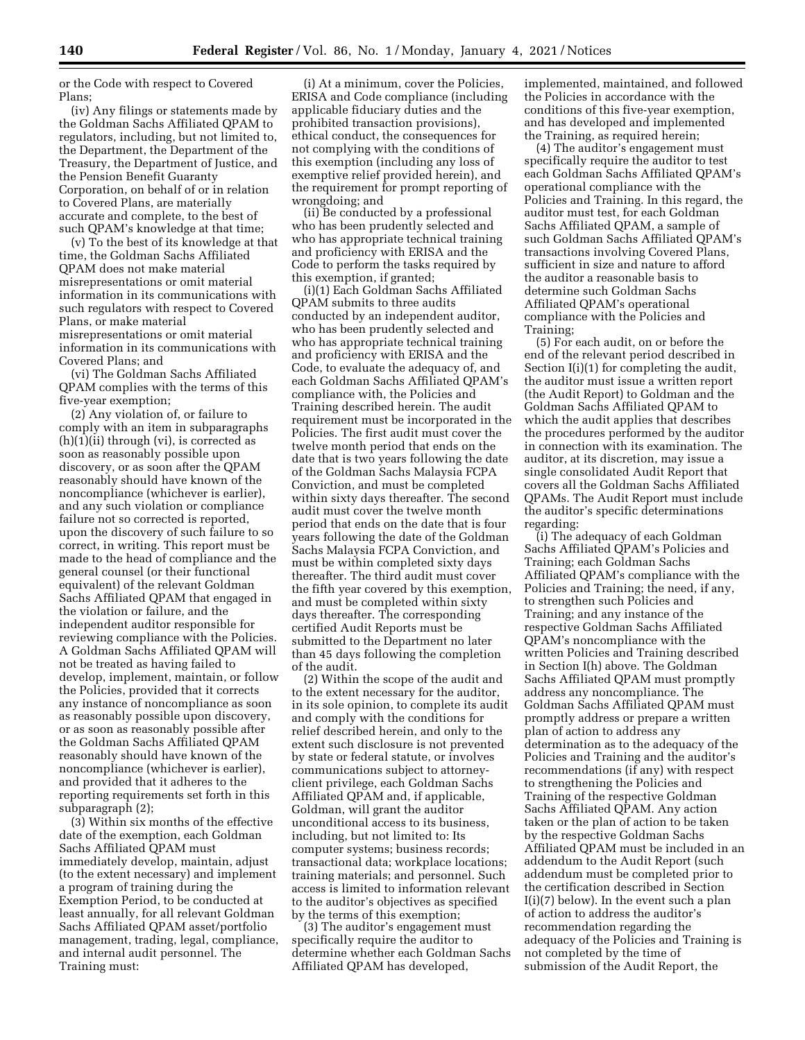or the Code with respect to Covered Plans;

(iv) Any filings or statements made by the Goldman Sachs Affiliated QPAM to regulators, including, but not limited to, the Department, the Department of the Treasury, the Department of Justice, and the Pension Benefit Guaranty Corporation, on behalf of or in relation to Covered Plans, are materially accurate and complete, to the best of such QPAM's knowledge at that time;

(v) To the best of its knowledge at that time, the Goldman Sachs Affiliated QPAM does not make material misrepresentations or omit material information in its communications with such regulators with respect to Covered Plans, or make material misrepresentations or omit material information in its communications with Covered Plans; and

(vi) The Goldman Sachs Affiliated QPAM complies with the terms of this five-year exemption;

(2) Any violation of, or failure to comply with an item in subparagraphs  $(h)(1)(ii)$  through  $(vi)$ , is corrected as soon as reasonably possible upon discovery, or as soon after the QPAM reasonably should have known of the noncompliance (whichever is earlier), and any such violation or compliance failure not so corrected is reported, upon the discovery of such failure to so correct, in writing. This report must be made to the head of compliance and the general counsel (or their functional equivalent) of the relevant Goldman Sachs Affiliated QPAM that engaged in the violation or failure, and the independent auditor responsible for reviewing compliance with the Policies. A Goldman Sachs Affiliated QPAM will not be treated as having failed to develop, implement, maintain, or follow the Policies, provided that it corrects any instance of noncompliance as soon as reasonably possible upon discovery, or as soon as reasonably possible after the Goldman Sachs Affiliated QPAM reasonably should have known of the noncompliance (whichever is earlier), and provided that it adheres to the reporting requirements set forth in this subparagraph (2);

(3) Within six months of the effective date of the exemption, each Goldman Sachs Affiliated QPAM must immediately develop, maintain, adjust (to the extent necessary) and implement a program of training during the Exemption Period, to be conducted at least annually, for all relevant Goldman Sachs Affiliated QPAM asset/portfolio management, trading, legal, compliance, and internal audit personnel. The Training must:

(i) At a minimum, cover the Policies, ERISA and Code compliance (including applicable fiduciary duties and the prohibited transaction provisions), ethical conduct, the consequences for not complying with the conditions of this exemption (including any loss of exemptive relief provided herein), and the requirement for prompt reporting of wrongdoing; and

(ii) Be conducted by a professional who has been prudently selected and who has appropriate technical training and proficiency with ERISA and the Code to perform the tasks required by this exemption, if granted;

(i)(1) Each Goldman Sachs Affiliated QPAM submits to three audits conducted by an independent auditor, who has been prudently selected and who has appropriate technical training and proficiency with ERISA and the Code, to evaluate the adequacy of, and each Goldman Sachs Affiliated QPAM's compliance with, the Policies and Training described herein. The audit requirement must be incorporated in the Policies. The first audit must cover the twelve month period that ends on the date that is two years following the date of the Goldman Sachs Malaysia FCPA Conviction, and must be completed within sixty days thereafter. The second audit must cover the twelve month period that ends on the date that is four years following the date of the Goldman Sachs Malaysia FCPA Conviction, and must be within completed sixty days thereafter. The third audit must cover the fifth year covered by this exemption, and must be completed within sixty days thereafter. The corresponding certified Audit Reports must be submitted to the Department no later than 45 days following the completion of the audit.

(2) Within the scope of the audit and to the extent necessary for the auditor, in its sole opinion, to complete its audit and comply with the conditions for relief described herein, and only to the extent such disclosure is not prevented by state or federal statute, or involves communications subject to attorneyclient privilege, each Goldman Sachs Affiliated QPAM and, if applicable, Goldman, will grant the auditor unconditional access to its business, including, but not limited to: Its computer systems; business records; transactional data; workplace locations; training materials; and personnel. Such access is limited to information relevant to the auditor's objectives as specified by the terms of this exemption;

(3) The auditor's engagement must specifically require the auditor to determine whether each Goldman Sachs Affiliated QPAM has developed,

implemented, maintained, and followed the Policies in accordance with the conditions of this five-year exemption, and has developed and implemented the Training, as required herein;

(4) The auditor's engagement must specifically require the auditor to test each Goldman Sachs Affiliated QPAM's operational compliance with the Policies and Training. In this regard, the auditor must test, for each Goldman Sachs Affiliated QPAM, a sample of such Goldman Sachs Affiliated QPAM's transactions involving Covered Plans, sufficient in size and nature to afford the auditor a reasonable basis to determine such Goldman Sachs Affiliated QPAM's operational compliance with the Policies and Training;

(5) For each audit, on or before the end of the relevant period described in Section I(i)(1) for completing the audit, the auditor must issue a written report (the Audit Report) to Goldman and the Goldman Sachs Affiliated QPAM to which the audit applies that describes the procedures performed by the auditor in connection with its examination. The auditor, at its discretion, may issue a single consolidated Audit Report that covers all the Goldman Sachs Affiliated QPAMs. The Audit Report must include the auditor's specific determinations regarding:

(i) The adequacy of each Goldman Sachs Affiliated QPAM's Policies and Training; each Goldman Sachs Affiliated QPAM's compliance with the Policies and Training; the need, if any, to strengthen such Policies and Training; and any instance of the respective Goldman Sachs Affiliated QPAM's noncompliance with the written Policies and Training described in Section I(h) above. The Goldman Sachs Affiliated QPAM must promptly address any noncompliance. The Goldman Sachs Affiliated QPAM must promptly address or prepare a written plan of action to address any determination as to the adequacy of the Policies and Training and the auditor's recommendations (if any) with respect to strengthening the Policies and Training of the respective Goldman Sachs Affiliated QPAM. Any action taken or the plan of action to be taken by the respective Goldman Sachs Affiliated QPAM must be included in an addendum to the Audit Report (such addendum must be completed prior to the certification described in Section I(i)(7) below). In the event such a plan of action to address the auditor's recommendation regarding the adequacy of the Policies and Training is not completed by the time of submission of the Audit Report, the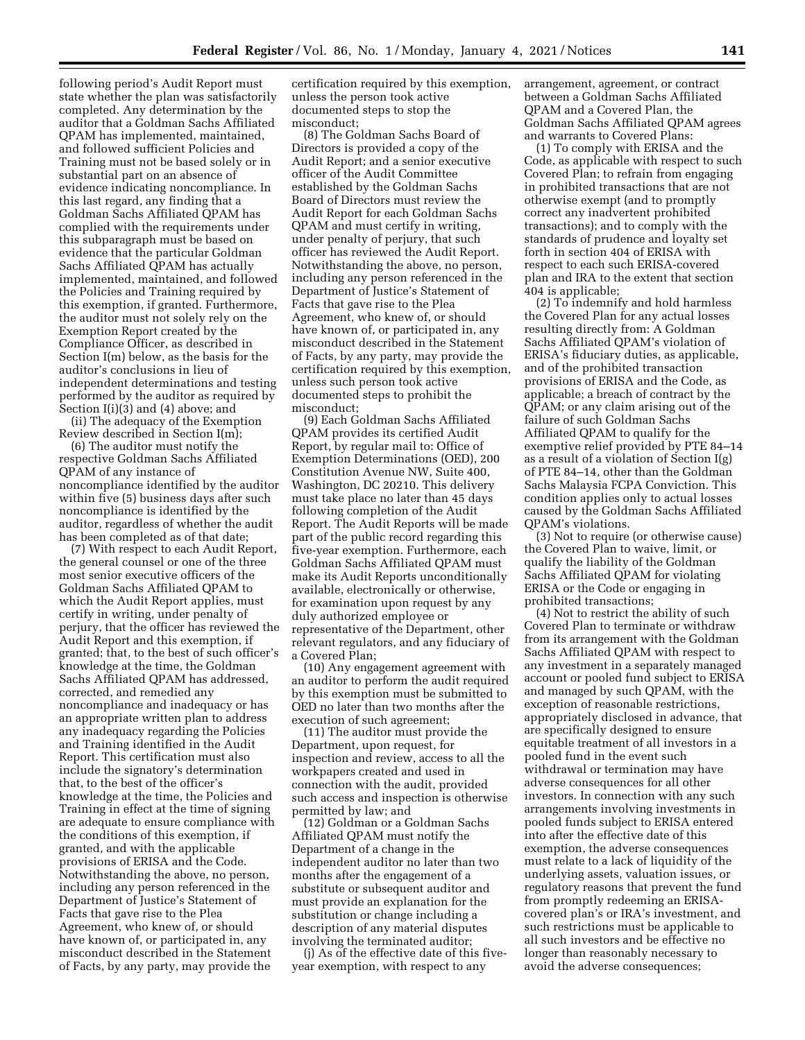following period's Audit Report must state whether the plan was satisfactorily completed. Any determination by the auditor that a Goldman Sachs Affiliated QPAM has implemented, maintained, and followed sufficient Policies and Training must not be based solely or in substantial part on an absence of evidence indicating noncompliance. In this last regard, any finding that a Goldman Sachs Affiliated QPAM has complied with the requirements under this subparagraph must be based on evidence that the particular Goldman Sachs Affiliated QPAM has actually implemented, maintained, and followed the Policies and Training required by this exemption, if granted. Furthermore, the auditor must not solely rely on the Exemption Report created by the Compliance Officer, as described in Section I(m) below, as the basis for the auditor's conclusions in lieu of independent determinations and testing performed by the auditor as required by Section I(i)(3) and (4) above; and

(ii) The adequacy of the Exemption Review described in Section I(m);

(6) The auditor must notify the respective Goldman Sachs Affiliated QPAM of any instance of noncompliance identified by the auditor within five (5) business days after such noncompliance is identified by the auditor, regardless of whether the audit has been completed as of that date;

(7) With respect to each Audit Report, the general counsel or one of the three most senior executive officers of the Goldman Sachs Affiliated QPAM to which the Audit Report applies, must certify in writing, under penalty of perjury, that the officer has reviewed the Audit Report and this exemption, if granted; that, to the best of such officer's knowledge at the time, the Goldman Sachs Affiliated QPAM has addressed, corrected, and remedied any noncompliance and inadequacy or has an appropriate written plan to address any inadequacy regarding the Policies and Training identified in the Audit Report. This certification must also include the signatory's determination that, to the best of the officer's knowledge at the time, the Policies and Training in effect at the time of signing are adequate to ensure compliance with the conditions of this exemption, if granted, and with the applicable provisions of ERISA and the Code. Notwithstanding the above, no person, including any person referenced in the Department of Justice's Statement of Facts that gave rise to the Plea Agreement, who knew of, or should have known of, or participated in, any misconduct described in the Statement of Facts, by any party, may provide the

certification required by this exemption, unless the person took active documented steps to stop the misconduct;

(8) The Goldman Sachs Board of Directors is provided a copy of the Audit Report; and a senior executive officer of the Audit Committee established by the Goldman Sachs Board of Directors must review the Audit Report for each Goldman Sachs QPAM and must certify in writing, under penalty of perjury, that such officer has reviewed the Audit Report. Notwithstanding the above, no person, including any person referenced in the Department of Justice's Statement of Facts that gave rise to the Plea Agreement, who knew of, or should have known of, or participated in, any misconduct described in the Statement of Facts, by any party, may provide the certification required by this exemption, unless such person took active documented steps to prohibit the misconduct;

(9) Each Goldman Sachs Affiliated QPAM provides its certified Audit Report, by regular mail to: Office of Exemption Determinations (OED), 200 Constitution Avenue NW, Suite 400, Washington, DC 20210. This delivery must take place no later than 45 days following completion of the Audit Report. The Audit Reports will be made part of the public record regarding this five-year exemption. Furthermore, each Goldman Sachs Affiliated QPAM must make its Audit Reports unconditionally available, electronically or otherwise, for examination upon request by any duly authorized employee or representative of the Department, other relevant regulators, and any fiduciary of a Covered Plan;

(10) Any engagement agreement with an auditor to perform the audit required by this exemption must be submitted to OED no later than two months after the execution of such agreement;

(11) The auditor must provide the Department, upon request, for inspection and review, access to all the workpapers created and used in connection with the audit, provided such access and inspection is otherwise permitted by law; and

(12) Goldman or a Goldman Sachs Affiliated QPAM must notify the Department of a change in the independent auditor no later than two months after the engagement of a substitute or subsequent auditor and must provide an explanation for the substitution or change including a description of any material disputes involving the terminated auditor;

(j) As of the effective date of this fiveyear exemption, with respect to any

arrangement, agreement, or contract between a Goldman Sachs Affiliated QPAM and a Covered Plan, the Goldman Sachs Affiliated QPAM agrees and warrants to Covered Plans:

(1) To comply with ERISA and the Code, as applicable with respect to such Covered Plan; to refrain from engaging in prohibited transactions that are not otherwise exempt (and to promptly correct any inadvertent prohibited transactions); and to comply with the standards of prudence and loyalty set forth in section 404 of ERISA with respect to each such ERISA-covered plan and IRA to the extent that section 404 is applicable;

(2) To indemnify and hold harmless the Covered Plan for any actual losses resulting directly from: A Goldman Sachs Affiliated QPAM's violation of ERISA's fiduciary duties, as applicable, and of the prohibited transaction provisions of ERISA and the Code, as applicable; a breach of contract by the QPAM; or any claim arising out of the failure of such Goldman Sachs Affiliated QPAM to qualify for the exemptive relief provided by PTE 84–14 as a result of a violation of Section I(g) of PTE 84–14, other than the Goldman Sachs Malaysia FCPA Conviction. This condition applies only to actual losses caused by the Goldman Sachs Affiliated QPAM's violations.

(3) Not to require (or otherwise cause) the Covered Plan to waive, limit, or qualify the liability of the Goldman Sachs Affiliated QPAM for violating ERISA or the Code or engaging in prohibited transactions;

(4) Not to restrict the ability of such Covered Plan to terminate or withdraw from its arrangement with the Goldman Sachs Affiliated QPAM with respect to any investment in a separately managed account or pooled fund subject to ERISA and managed by such QPAM, with the exception of reasonable restrictions, appropriately disclosed in advance, that are specifically designed to ensure equitable treatment of all investors in a pooled fund in the event such withdrawal or termination may have adverse consequences for all other investors. In connection with any such arrangements involving investments in pooled funds subject to ERISA entered into after the effective date of this exemption, the adverse consequences must relate to a lack of liquidity of the underlying assets, valuation issues, or regulatory reasons that prevent the fund from promptly redeeming an ERISAcovered plan's or IRA's investment, and such restrictions must be applicable to all such investors and be effective no longer than reasonably necessary to avoid the adverse consequences;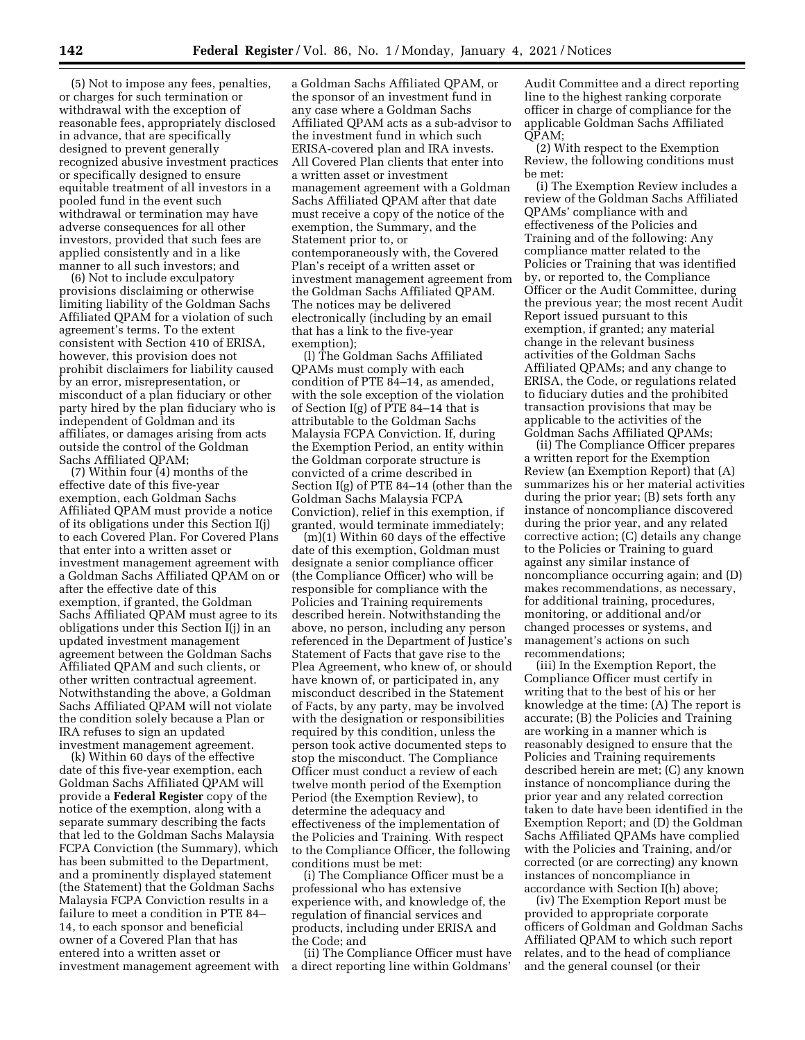(5) Not to impose any fees, penalties, or charges for such termination or withdrawal with the exception of reasonable fees, appropriately disclosed in advance, that are specifically designed to prevent generally recognized abusive investment practices or specifically designed to ensure equitable treatment of all investors in a pooled fund in the event such withdrawal or termination may have adverse consequences for all other investors, provided that such fees are applied consistently and in a like manner to all such investors; and

(6) Not to include exculpatory provisions disclaiming or otherwise limiting liability of the Goldman Sachs Affiliated QPAM for a violation of such agreement's terms. To the extent consistent with Section 410 of ERISA, however, this provision does not prohibit disclaimers for liability caused by an error, misrepresentation, or misconduct of a plan fiduciary or other party hired by the plan fiduciary who is independent of Goldman and its affiliates, or damages arising from acts outside the control of the Goldman Sachs Affiliated QPAM;

(7) Within four (4) months of the effective date of this five-year exemption, each Goldman Sachs Affiliated QPAM must provide a notice of its obligations under this Section I(j) to each Covered Plan. For Covered Plans that enter into a written asset or investment management agreement with a Goldman Sachs Affiliated QPAM on or after the effective date of this exemption, if granted, the Goldman Sachs Affiliated QPAM must agree to its obligations under this Section I(j) in an updated investment management agreement between the Goldman Sachs Affiliated QPAM and such clients, or other written contractual agreement. Notwithstanding the above, a Goldman Sachs Affiliated QPAM will not violate the condition solely because a Plan or IRA refuses to sign an updated investment management agreement.

(k) Within 60 days of the effective date of this five-year exemption, each Goldman Sachs Affiliated QPAM will provide a **Federal Register** copy of the notice of the exemption, along with a separate summary describing the facts that led to the Goldman Sachs Malaysia FCPA Conviction (the Summary), which has been submitted to the Department, and a prominently displayed statement (the Statement) that the Goldman Sachs Malaysia FCPA Conviction results in a failure to meet a condition in PTE 84– 14, to each sponsor and beneficial owner of a Covered Plan that has entered into a written asset or investment management agreement with

a Goldman Sachs Affiliated QPAM, or the sponsor of an investment fund in any case where a Goldman Sachs Affiliated QPAM acts as a sub-advisor to the investment fund in which such ERISA-covered plan and IRA invests. All Covered Plan clients that enter into a written asset or investment management agreement with a Goldman Sachs Affiliated QPAM after that date must receive a copy of the notice of the exemption, the Summary, and the Statement prior to, or contemporaneously with, the Covered Plan's receipt of a written asset or investment management agreement from the Goldman Sachs Affiliated QPAM. The notices may be delivered electronically (including by an email that has a link to the five-year exemption);

(l) The Goldman Sachs Affiliated QPAMs must comply with each condition of PTE 84–14, as amended, with the sole exception of the violation of Section I(g) of PTE 84–14 that is attributable to the Goldman Sachs Malaysia FCPA Conviction. If, during the Exemption Period, an entity within the Goldman corporate structure is convicted of a crime described in Section I(g) of PTE 84–14 (other than the Goldman Sachs Malaysia FCPA Conviction), relief in this exemption, if granted, would terminate immediately;

(m)(1) Within 60 days of the effective date of this exemption, Goldman must designate a senior compliance officer (the Compliance Officer) who will be responsible for compliance with the Policies and Training requirements described herein. Notwithstanding the above, no person, including any person referenced in the Department of Justice's Statement of Facts that gave rise to the Plea Agreement, who knew of, or should have known of, or participated in, any misconduct described in the Statement of Facts, by any party, may be involved with the designation or responsibilities required by this condition, unless the person took active documented steps to stop the misconduct. The Compliance Officer must conduct a review of each twelve month period of the Exemption Period (the Exemption Review), to determine the adequacy and effectiveness of the implementation of the Policies and Training. With respect to the Compliance Officer, the following conditions must be met:

(i) The Compliance Officer must be a professional who has extensive experience with, and knowledge of, the regulation of financial services and products, including under ERISA and the Code; and

(ii) The Compliance Officer must have a direct reporting line within Goldmans'

Audit Committee and a direct reporting line to the highest ranking corporate officer in charge of compliance for the applicable Goldman Sachs Affiliated QPAM;

(2) With respect to the Exemption Review, the following conditions must be met:

(i) The Exemption Review includes a review of the Goldman Sachs Affiliated QPAMs' compliance with and effectiveness of the Policies and Training and of the following: Any compliance matter related to the Policies or Training that was identified by, or reported to, the Compliance Officer or the Audit Committee, during the previous year; the most recent Audit Report issued pursuant to this exemption, if granted; any material change in the relevant business activities of the Goldman Sachs Affiliated QPAMs; and any change to ERISA, the Code, or regulations related to fiduciary duties and the prohibited transaction provisions that may be applicable to the activities of the Goldman Sachs Affiliated QPAMs;

(ii) The Compliance Officer prepares a written report for the Exemption Review (an Exemption Report) that (A) summarizes his or her material activities during the prior year; (B) sets forth any instance of noncompliance discovered during the prior year, and any related corrective action; (C) details any change to the Policies or Training to guard against any similar instance of noncompliance occurring again; and (D) makes recommendations, as necessary, for additional training, procedures, monitoring, or additional and/or changed processes or systems, and management's actions on such recommendations;

(iii) In the Exemption Report, the Compliance Officer must certify in writing that to the best of his or her knowledge at the time: (A) The report is accurate; (B) the Policies and Training are working in a manner which is reasonably designed to ensure that the Policies and Training requirements described herein are met; (C) any known instance of noncompliance during the prior year and any related correction taken to date have been identified in the Exemption Report; and (D) the Goldman Sachs Affiliated QPAMs have complied with the Policies and Training, and/or corrected (or are correcting) any known instances of noncompliance in accordance with Section I(h) above;

(iv) The Exemption Report must be provided to appropriate corporate officers of Goldman and Goldman Sachs Affiliated QPAM to which such report relates, and to the head of compliance and the general counsel (or their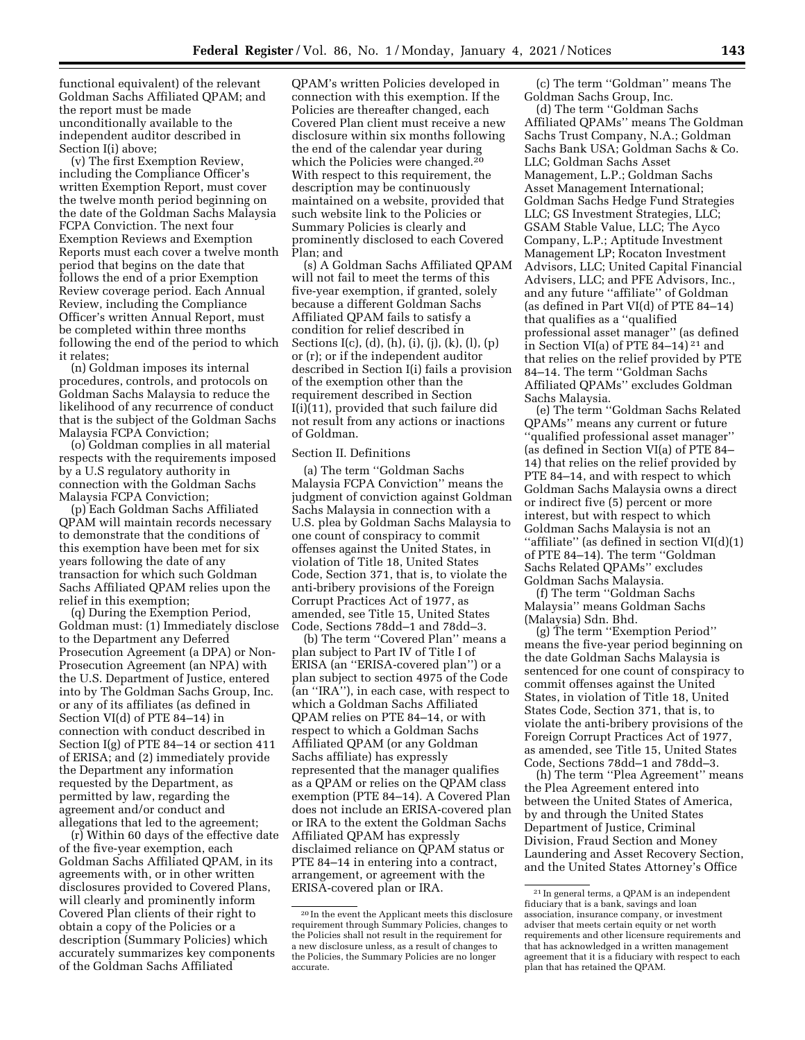functional equivalent) of the relevant Goldman Sachs Affiliated QPAM; and the report must be made unconditionally available to the independent auditor described in Section I(i) above;

(v) The first Exemption Review, including the Compliance Officer's written Exemption Report, must cover the twelve month period beginning on the date of the Goldman Sachs Malaysia FCPA Conviction. The next four Exemption Reviews and Exemption Reports must each cover a twelve month period that begins on the date that follows the end of a prior Exemption Review coverage period. Each Annual Review, including the Compliance Officer's written Annual Report, must be completed within three months following the end of the period to which it relates;

(n) Goldman imposes its internal procedures, controls, and protocols on Goldman Sachs Malaysia to reduce the likelihood of any recurrence of conduct that is the subject of the Goldman Sachs Malaysia FCPA Conviction;

(o) Goldman complies in all material respects with the requirements imposed by a U.S regulatory authority in connection with the Goldman Sachs Malaysia FCPA Conviction;

(p) Each Goldman Sachs Affiliated QPAM will maintain records necessary to demonstrate that the conditions of this exemption have been met for six years following the date of any transaction for which such Goldman Sachs Affiliated QPAM relies upon the relief in this exemption;

(q) During the Exemption Period, Goldman must: (1) Immediately disclose to the Department any Deferred Prosecution Agreement (a DPA) or Non-Prosecution Agreement (an NPA) with the U.S. Department of Justice, entered into by The Goldman Sachs Group, Inc. or any of its affiliates (as defined in Section VI(d) of PTE 84–14) in connection with conduct described in Section I(g) of PTE 84–14 or section 411 of ERISA; and (2) immediately provide the Department any information requested by the Department, as permitted by law, regarding the agreement and/or conduct and allegations that led to the agreement;

(r) Within 60 days of the effective date of the five-year exemption, each Goldman Sachs Affiliated QPAM, in its agreements with, or in other written disclosures provided to Covered Plans, will clearly and prominently inform Covered Plan clients of their right to obtain a copy of the Policies or a description (Summary Policies) which accurately summarizes key components of the Goldman Sachs Affiliated

QPAM's written Policies developed in connection with this exemption. If the Policies are thereafter changed, each Covered Plan client must receive a new disclosure within six months following the end of the calendar year during which the Policies were changed.<sup>20</sup> With respect to this requirement, the description may be continuously maintained on a website, provided that such website link to the Policies or Summary Policies is clearly and prominently disclosed to each Covered Plan; and

(s) A Goldman Sachs Affiliated QPAM will not fail to meet the terms of this five-year exemption, if granted, solely because a different Goldman Sachs Affiliated QPAM fails to satisfy a condition for relief described in Sections I(c), (d), (h), (i), (j), (k), (l), (p) or (r); or if the independent auditor described in Section I(i) fails a provision of the exemption other than the requirement described in Section I(i)(11), provided that such failure did not result from any actions or inactions of Goldman.

## Section II. Definitions

(a) The term ''Goldman Sachs Malaysia FCPA Conviction'' means the judgment of conviction against Goldman Sachs Malaysia in connection with a U.S. plea by Goldman Sachs Malaysia to one count of conspiracy to commit offenses against the United States, in violation of Title 18, United States Code, Section 371, that is, to violate the anti-bribery provisions of the Foreign Corrupt Practices Act of 1977, as amended, see Title 15, United States Code, Sections 78dd–1 and 78dd–3.

(b) The term ''Covered Plan'' means a plan subject to Part IV of Title I of ERISA (an ''ERISA-covered plan'') or a plan subject to section 4975 of the Code (an ''IRA''), in each case, with respect to which a Goldman Sachs Affiliated QPAM relies on PTE 84–14, or with respect to which a Goldman Sachs Affiliated QPAM (or any Goldman Sachs affiliate) has expressly represented that the manager qualifies as a QPAM or relies on the QPAM class exemption (PTE 84–14). A Covered Plan does not include an ERISA-covered plan or IRA to the extent the Goldman Sachs Affiliated QPAM has expressly disclaimed reliance on QPAM status or PTE 84–14 in entering into a contract, arrangement, or agreement with the ERISA-covered plan or IRA.

(c) The term ''Goldman'' means The Goldman Sachs Group, Inc.

(d) The term ''Goldman Sachs Affiliated QPAMs'' means The Goldman Sachs Trust Company, N.A.; Goldman Sachs Bank USA; Goldman Sachs & Co. LLC; Goldman Sachs Asset Management, L.P.; Goldman Sachs Asset Management International; Goldman Sachs Hedge Fund Strategies LLC; GS Investment Strategies, LLC; GSAM Stable Value, LLC; The Ayco Company, L.P.; Aptitude Investment Management LP; Rocaton Investment Advisors, LLC; United Capital Financial Advisers, LLC; and PFE Advisors, Inc., and any future ''affiliate'' of Goldman (as defined in Part VI(d) of PTE 84–14) that qualifies as a ''qualified professional asset manager'' (as defined in Section VI(a) of PTE 84–14) 21 and that relies on the relief provided by PTE 84–14. The term ''Goldman Sachs Affiliated QPAMs'' excludes Goldman Sachs Malaysia.

(e) The term ''Goldman Sachs Related QPAMs'' means any current or future ''qualified professional asset manager'' (as defined in Section VI(a) of PTE 84– 14) that relies on the relief provided by PTE 84–14, and with respect to which Goldman Sachs Malaysia owns a direct or indirect five (5) percent or more interest, but with respect to which Goldman Sachs Malaysia is not an ''affiliate'' (as defined in section VI(d)(1) of PTE 84–14). The term ''Goldman Sachs Related QPAMs'' excludes Goldman Sachs Malaysia.

(f) The term ''Goldman Sachs Malaysia'' means Goldman Sachs (Malaysia) Sdn. Bhd.

(g) The term ''Exemption Period'' means the five-year period beginning on the date Goldman Sachs Malaysia is sentenced for one count of conspiracy to commit offenses against the United States, in violation of Title 18, United States Code, Section 371, that is, to violate the anti-bribery provisions of the Foreign Corrupt Practices Act of 1977, as amended, see Title 15, United States Code, Sections 78dd–1 and 78dd–3.

(h) The term ''Plea Agreement'' means the Plea Agreement entered into between the United States of America, by and through the United States Department of Justice, Criminal Division, Fraud Section and Money Laundering and Asset Recovery Section, and the United States Attorney's Office

<sup>20</sup> In the event the Applicant meets this disclosure requirement through Summary Policies, changes to the Policies shall not result in the requirement for a new disclosure unless, as a result of changes to the Policies, the Summary Policies are no longer accurate.

<sup>21</sup> In general terms, a QPAM is an independent fiduciary that is a bank, savings and loan association, insurance company, or investment adviser that meets certain equity or net worth requirements and other licensure requirements and that has acknowledged in a written management agreement that it is a fiduciary with respect to each plan that has retained the QPAM.